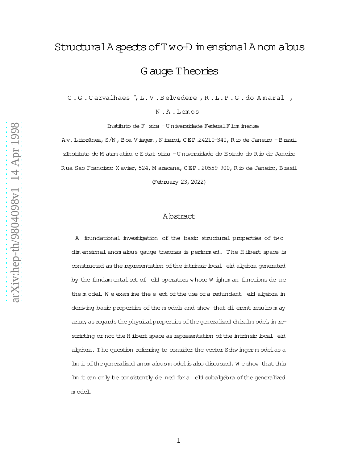# StructuralA spects of Two-D in ensionalAnom alous G auge Theories

C.G.Carvalhaes<sup>z</sup>,L.V.Belvedere,R.L.P.G.do Amaral,

N .A .Lem os

Instituto de F sica - U niversidade Federal Flum inense

Av. Litorânea, S/N, Boa V iagem, N iteroi, CEP 24210-340, Rio de Janeiro -Brasil zInstituto de M atem atica e Estat stica - U niversidade do Estado do R io de Janeiro Rua Sao Francisco X avier, 524, M aracana, CEP. 20559 900, R io de Janeiro, Brasil (February 23,2022)

# A bstract

A foundational investigation of the basic structural properties of twodim ensional anom alous gauge theories is performed. The H ilbert space is constructed as the representation of the intrinsic local eld algebra generated by the fundam ental set of eld operators w hose W ightm an functions de ne the m odel. We exam ine the eect of the use of a redundant eld algebra in deriving basic properties of the m odels and show that dierent results may arise, as regards the physical properties of the generalized chiralm odel, in restricting or not the H ilbert space as representation of the intrinsic local eld algebra. The question referring to consider the vector Schwinger m odel as a lim itofthe generalized anom alousm odelisalso discussed.W e show thatthis lim it can only be consistently de ned for a eld subalgebra of the generalized m odel.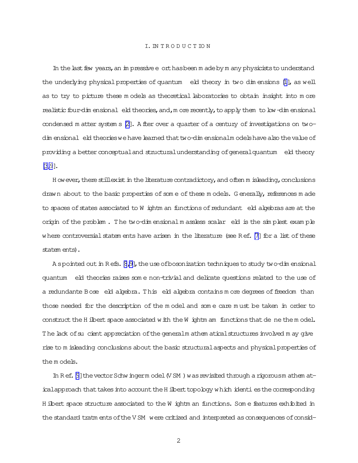In the last few years, an impressive e ort has been m ade by m any physicists to understand the underlying physical properties of quantum eld theory in two dimensions [1], as well as to try to picture these models as theoretical laboratories to obtain insight into more realistic four-dim ensional eld theories, and, m ore recently, to apply them to low-dim ensional condensed m atter system  $s \nvert 2$ . A fler over a quarter of a century of investigations on twodim ensional eld theories we have learned that two-dim ensionalm odels have also the value of providing a better conceptual and structural understanding of general quantum eld theory  $3,9$ .

H ow ever, there stillexist in the literature contradictory, and often m isleading, conclusions drawn about to the basic properties of some of these models. Generally, references made to spaces of states associated to W ightm an functions of redundant eld algebras are at the origin of the problem. The two-dimensional massless scalar eld is the simplest example where controversial statem ents have arisen in the literature (see Ref. [7] for a list of these statem ents).

A spointed out in Refs. [8,9], the use of bosonization techniques to study two-dimensional quantum eld theories raises some non-trivial and delicate questions related to the use of a redundante Bose eld algebra. This eld algebra contains more degrees of freedom than those needed for the description of the model and some care must be taken in order to construct the H ibert space associated with the W ightm am functions that de ne the model. The lack of su cient appreciation of the general m athem atical structures involved m ay give rise to m isleading conclusions about the basic structural aspects and physical properties of them odels.

In Ref. [9] the vector Schw ingerm odel (VSM) was revisited through a rigorousm athem aticalapproach that takes into account the H ilbert topology which identi es the corresponding H ilbert space structure associated to the W ightm an functions. Some features exhibited in the standard tratm ents of the VSM were critized and interpreted as consequences of consid-

 $\overline{2}$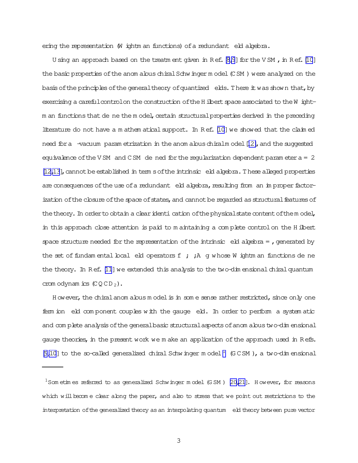ering the representation (W ightm an functions) of a redundant eld algebra.

U sing an approach based on the treatm ent given in Ref. [\[8,9](#page-37-0)] for the V SM , in Ref. [\[10](#page-37-0)] the basic properties of the anom alous chiral Schwinger m odel (CSM) were analyzed on the basis of the principles of the general theory of quantized elds. There it was shown that, by exercising a carefulcontrolon the construction of the H ilbert space associated to the W ightm an functions that de ne the m odel, certain structural properties derived in the preceding literature do not have a m athem atical support. In Ref.  $[10]$  we showed that the claim ed need for a -vacuum param etrization in the anom alous chiralm odel [\[12\]](#page-38-0), and the suggested equivalence of the VSM and CSM de ned for the reqularization dependent param eter  $a = 2$ [\[12,13](#page-38-0)], cannot be established in term s of the intrinsic eld algebra. These alleged properties are consequences of the use of a redundant eld algebra, resulting from an im proper factorization of the closure of the space of states, and cannot be regarded as structural features of the theory. In order to obtain a clear identication of the physical state content of the model, in this approach close attention is paid to m aintaining a complete control on the H ilbert space structure needed for the representation of the intrinsic  $e$  eld algebra = , generated by the set of fundam ental boal eld operators  $f$  ;  $\lambda$  g whose W ightm an functions de ne the theory. In Ref. [\[11](#page-37-0)] we extended this analysis to the two-dim ensional chiral quantum crom odynamics  $(\text{CQCD}_2)$ .

H owever, the chiral anom alous m odel is in som e sense rather restricted, since only one fem ion eld com ponent couples with the gauge eld. In order to perform a system atic and com plete analysisofthe generalbasic structuralaspectsofanom aloustwo-dim ensional gauge theories, in the present work we m ake an application of the approach used in Refs. [\[9,10](#page-37-0)] to the so-called generalized chiral Schwinger model<sup>1</sup> (GCSM), a two-dim ensional

 $^1$ Som etim es referred to as generalized Schwinger model (GSM ) [\[20,21](#page-38-0)]. However, for reasons which will become clear along the paper, and also to stress that we point out restrictions to the interpretation ofthe generalized theory asan interpolating quantum eld theory between pure vector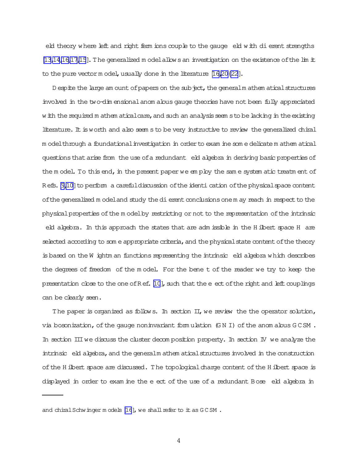eld theory where left and right ferm ions couple to the gauge eld with dierent strengths  $[13,14,16,17,15]$  $[13,14,16,17,15]$ . The generalized m odelallows an investigation on the existence of the lim it to the pure vector m odel, usually done in the literature  $[16,20\{22\}]$ .

D espite the large am ount of papers on the subject, the generalm athem atical structures involved in the two-dim ensionalanom alous gauge theories have not been fully appreciated w ith the required m athem aticalcare, and such an analysis seem s to be lacking in the existing literature. It is worth and also seem s to be very instructive to review the generalized chiral m odelthrough a foundationalinvestigation in orderto exam ine som e delicate m athem atical questions that arise from the use of a redundant eld algebra in deriving basic properties of the m odel. To this end, in the present paper we em ploy the sam e system atic treatm ent of R efs. [\[9,10\]](#page-37-0) to perform a carefuldiscussion of the identi cation of the physical space content of the generalized m odel and study the dierent conclusions one m ay reach in respect to the physicalproperties ofthe m odelby restricting or not to the representation ofthe intrinsic

eld algebra. In this approach the states that are adm issible in the H ilbert space H are  $s$ elected according to som e appropriate criteria, and the physical state content of the theory is based on the W ightm an functions representing the intrinsic  $e$ k algebra which describes the degrees of freedom of the m odel. For the bene t of the reader we try to keep the presentation close to the one of Ref.  $[10]$  $[10]$ , such that the eect of the right and left couplings can be clearly seen.

The paper is organized as follows. In section  $\Pi$ , we review the the operator solution, via bosonization, of the gauge noninvariant form ulation  $(GN I)$  of the anom alous  $G C SM$ . In section IIIwe discuss the cluster decom position property. In section IV we analyze the intrinsic eld algebra, and the generalm athem atical structures involved in the construction of the H ilbert space are discussed. The topological charge content of the H ilbert space is displayed in order to exam ine the e ect of the use of a redundant Bose eld algebra in

4

and chiral Schwinger m odels [\[16](#page-38-0)], we shall refer to it as GCSM.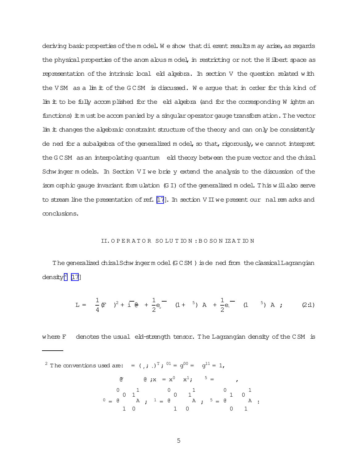deriving basic properties of the model. We show that dierent results may arise, as regards the physical properties of the anom alous model, in restricting or not the H ilbert space as representation of the intrinsic local eld algebra. In section V the question related with the VSM as a lim it of the GCSM is discussed. We argue that in order for this kind of lim it to be fully accomplished for the eld algebra (and for the corresponding W ightm an functions) it must be accompanied by a singular operator gauge transform ation. The vector lim it changes the algebraic constraint structure of the theory and can only be consistently de ned for a subalgebra of the generalized model, so that, rigorously, we cannot interpret the GCSM as an interpolating quantum eld theory between the pure vector and the chiral Schwinger models. In Section VI we brie y extend the analysis to the discussion of the isom orphic gauge invariant form ulation (GI) of the generalized model. This will also serve to stream line the presentation of ref.  $[17]$ . In section  $V \perp W$  we present our nal rem arks and conclusions.

#### II. OPERATOR SOLUTION: BOSON IZATION

The generalized chiral Schwinger model (GCSM) is dened from the classical Lagrangian density<sup>2</sup> [17]

$$
L = \frac{1}{4} (F \t)^2 + i \t e + \frac{1}{2} e_r^{\t -} \t (1 + \t 5) A + \frac{1}{2} e_r^{\t -} \t (1 \t 5) A ; \t (2.1)
$$

where F denotes the usual eld-strength tensor. The Lagrangian density of the CSM is

<sup>2</sup> The conventions used are: = 
$$
(\cdot, \cdot, \cdot)^T
$$
; <sup>01</sup> =  $g^{00}$  =  $g^{11}$  = 1,

$$
\begin{array}{ccccccccc}\n\mathfrak{G} & \mathfrak{G} & \mathfrak{K} & \mathfrak{K} & \mathfrak{K}^1 & \mathfrak{K}^1 & \mathfrak{K}^1 & \mathfrak{K}^1 & \mathfrak{K}^1 & \mathfrak{K}^1 & \mathfrak{K}^1 & \mathfrak{K}^1 & \mathfrak{K}^1 & \mathfrak{K}^1 & \mathfrak{K}^1 & \mathfrak{K}^1 & \mathfrak{K}^1 & \mathfrak{K}^1 & \mathfrak{K}^1 & \mathfrak{K}^1 & \mathfrak{K}^1 & \mathfrak{K}^1 & \mathfrak{K}^1 & \mathfrak{K}^1 & \mathfrak{K}^1 & \mathfrak{K}^1 & \mathfrak{K}^1 & \mathfrak{K}^1 & \mathfrak{K}^1 & \mathfrak{K}^1 & \mathfrak{K}^1 & \mathfrak{K}^1 & \mathfrak{K}^1 & \mathfrak{K}^1 & \mathfrak{K}^1 & \mathfrak{K}^1 & \mathfrak{K}^1 & \mathfrak{K}^1 & \mathfrak{K}^1 & \mathfrak{K}^1 & \mathfrak{K}^1 & \mathfrak{K}^1 & \mathfrak{K}^1 & \mathfrak{K}^1 & \mathfrak{K}^1 & \mathfrak{K}^1 & \mathfrak{K}^1 & \mathfrak{K}^1 & \mathfrak{K}^1 & \mathfrak{K}^1 & \mathfrak{K}^1 & \mathfrak{K}^1 & \mathfrak{K}^1 & \mathfrak{K}^1 & \mathfrak{K}^1 & \mathfrak{K}^1 & \mathfrak{K}^1 & \mathfrak{K}^1 & \mathfrak{K}^1 & \mathfrak{K}^1 & \mathfrak{K}^1 & \mathfrak{K}^1 & \mathfrak{K}^1 & \math
$$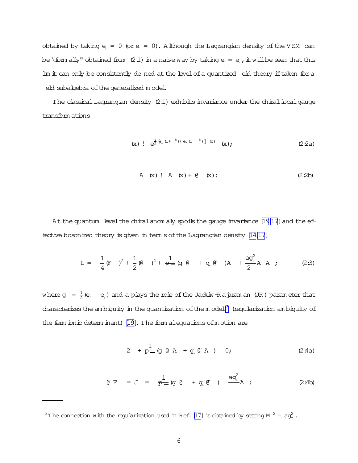obtained by taking  $e_r = 0$  (or  $e_r = 0$ ). A lthough the Lagrangian density of the VSM can be \form ally" obtained from (2.1) in a naive way by taking e =  $e_r$ , it will be seen that this lim it can only be consistently de ned at the level of a quantized eld theory if taken for a eld subalgebra ofthe generalized m odel.

The classical Lagrangian density  $(2.1)$  exhibits invariance under the chiral bcal gauge transform ations

$$
(x) \quad e^{\frac{i}{2} [e_r (1+^{-5})+e_r (1-^{-5})] (x)} \quad (x); \tag{2.2a}
$$

A (x) ! A (x) + 
$$
\theta
$$
 (x): (2.2b)

At the quantum level the chiralanom aly spoils the gauge invariance [\[19,17](#page-38-0)] and the ef-fective bosonized theory is given in term s of the Lagrangian density [\[14,17\]](#page-38-0)

L = 1 4 (F) <sup>2</sup> + 1 2 (@ ) <sup>2</sup> + 1 p (g @ + g<sup>+</sup> @~ )A + ag<sup>2</sup> + 2 A A ; (2:3)

where  $g = \frac{1}{2}$  $\frac{1}{2}$  (e, e<sub>r</sub>) and a plays the role of the Jackiw-Rajaram an (JR) parameter that characterizes the am biguity in the quantization of the model<sup>3</sup> (regularization am biguity of the ferm ionic determ inant) [\[19\]](#page-38-0).The form alequations ofm otion are

$$
2 + \frac{1}{P} (g \theta A + g_{*} \theta A) = 0;
$$
 (2:4a)

$$
\theta \quad F \quad = \quad J \quad = \quad \frac{1}{P} = (g \quad \theta \quad + \quad g_{\downarrow} \quad \theta \quad ) \quad \frac{ag_{\downarrow}^{2}}{A} \quad : \tag{2.4b}
$$

<sup>&</sup>lt;sup>3</sup>T he connection with the regularization used in Ref. [\[17\]](#page-38-0) is obtained by setting M <sup>2</sup> = ag<sup>2</sup>.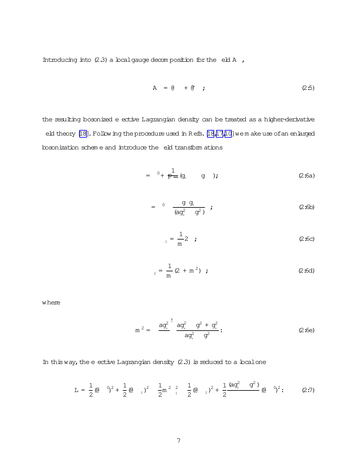Introducing into  $(2.3)$  a local gauge decom position for the eld A ,

$$
A = \emptyset + \emptyset ; \qquad (2.5)
$$

the resulting bosonized e ective Lagrangian density can be treated as a higher-derivative eld theory [\[18\]](#page-38-0). Following the procedure used in Refs. [\[18,17](#page-38-0)[,10\]](#page-37-0) we make use of an enlarged bosonization schem e and introduce the eld transform ations

$$
= {}^{0} + \frac{1}{P} = (g, \t g), \t (2:6a)
$$

$$
= 0 \frac{g g_{+}}{(ag_{+}^{2} g_{-}^{2})} ; \qquad (2:6b)
$$

$$
E_{1} = \frac{1}{m} 2 \t ; \t (2:6c)
$$

$$
E_2 = \frac{1}{m} (2 + m^2) ; \qquad (2.6d)
$$

where

$$
m^{2} = \frac{aq_{+}^{2}}{4} \frac{sq_{+}^{2}}{aq_{+}^{2}} \frac{q^{2} + q_{+}^{2}}{q^{2}};
$$
 (2:6e)

In this way, the e ective Lagrangian density  $(2.3)$  is reduced to a local one

$$
L = \frac{1}{2} (0 \t 0)^2 + \frac{1}{2} (0 \t 1)^2 \t \frac{1}{2} m^2 \t \frac{2}{1} (0 \t 2)^2 + \frac{1}{2} \frac{(aq_+^2 + q_-^2)}{(q_+^2 + q_-^2)} (0 \t 0)^2; \t (2.7)
$$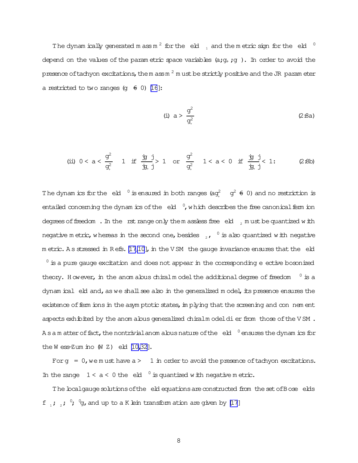The dynam ically generated m ass m<sup>2</sup> for the eld  $_{1}$  and the metric sign for the eld  $^{-0}$ depend on the values of the param etric space variables  $(a;q, q)$ . In order to avoid the presence oftachyon excitations, the m ass m  $^2$  m ust be strictly positive and the JR param eter a restricted to two ranges  $(q \oplus 0)$  [\[16](#page-38-0)]:

(i) 
$$
a > \frac{g^2}{g^2}
$$
 (2:8a)

$$
\text{(ii) } 0 < a < \frac{g^2}{g^2_*} \quad 1 \quad \text{if} \quad \frac{y}{y} \frac{j}{j} > 1 \quad \text{or} \quad \frac{g^2}{g^2_*} \quad 1 < a < 0 \quad \text{if} \quad \frac{y}{y} \frac{j}{j} < 1; \tag{2.8b}
$$

The dynam ics for the eld  $\degree$  is ensured in both ranges (ag<sup>2</sup> o<sup>2</sup>  $\theta$  0) and no restriction is entailed concerning the dynam ics of the  $\cdot$ eld  $\cdot$ , which describes the free canonical ferm ion degrees of freedom. In the rst range only the m assless free eld, must be quantized with negative m etric, whereas in the second one, besides  $\,\,{}_{_2}$ ,  $\,$   $^0$  is also quantized with negative  $m$  etric. A s stressed in Refs. [\[17](#page-38-0)[,10](#page-37-0)], in the V SM the gauge invariance ensures that the eld  $0$  is a pure gauge excitation and does not appear in the corresponding e ective bosonized theory. However, in the anom alous chiralm odel the additional degree of freedom  $0$  is a dynam ical eld and, as we shall see also in the generalized model, its presence ensures the existence of ferm ions in the asym ptotic states, in plying that the screening and con nem ent aspects exhibited by the anom alous generalized chiralm odeldier from those of the VSM. A s a m atter of fact, the nontrivial anom alous nature of the  $\,$ eld  $\,$ <sup>0</sup> ensures the dynam ics for the W ess-Zum ino  $(W Z)$  eld  $[10, 32]$ .

For  $q = 0$ , we m ust have  $a > 1$  in order to avoid the presence of tachyon excitations. In the range  $1 < a < 0$  the eld  $0$  is quantized with negative m etric.

The bcalgauge solutions of the eld equations are constructed from the set of Bose elds f  $\cdot$  ;  $\cdot$  ;  $\cdot$   $\cdot$   $\cdot$   $\cdot$   $\cdot$  and up to a K lein transform ation are given by [\[17](#page-38-0)]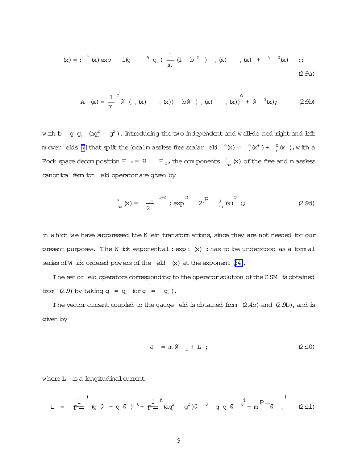$$
(\mathbf{x}) = : \text{``x) } \exp \text{ if } (\mathbf{x}) = \text{``x) } \text{ if } (\mathbf{x}) = \frac{1}{m} (\mathbf{x}) + \frac{1}{m} (\mathbf{x}) + \frac{1}{m} (\mathbf{x}) + \frac{1}{m} (\mathbf{x}) + \frac{1}{m} (\mathbf{x}) + \frac{1}{m} (\mathbf{x}) + \frac{1}{m} (\mathbf{x}) + \frac{1}{m} (\mathbf{x}) + \frac{1}{m} (\mathbf{x}) + \frac{1}{m} (\mathbf{x}) + \frac{1}{m} (\mathbf{x}) + \frac{1}{m} (\mathbf{x}) + \frac{1}{m} (\mathbf{x}) + \frac{1}{m} (\mathbf{x}) + \frac{1}{m} (\mathbf{x}) + \frac{1}{m} (\mathbf{x}) + \frac{1}{m} (\mathbf{x}) + \frac{1}{m} (\mathbf{x}) + \frac{1}{m} (\mathbf{x}) + \frac{1}{m} (\mathbf{x}) + \frac{1}{m} (\mathbf{x}) + \frac{1}{m} (\mathbf{x}) + \frac{1}{m} (\mathbf{x}) + \frac{1}{m} (\mathbf{x}) + \frac{1}{m} (\mathbf{x}) + \frac{1}{m} (\mathbf{x}) + \frac{1}{m} (\mathbf{x}) + \frac{1}{m} (\mathbf{x}) + \frac{1}{m} (\mathbf{x}) + \frac{1}{m} (\mathbf{x}) + \frac{1}{m} (\mathbf{x}) + \frac{1}{m} (\mathbf{x}) + \frac{1}{m} (\mathbf{x}) + \frac{1}{m} (\mathbf{x}) + \frac{1}{m} (\mathbf{x}) + \frac{1}{m} (\mathbf{x}) + \frac{1}{m} (\mathbf{x}) + \frac{1}{m} (\mathbf{x}) + \frac{1}{m} (\mathbf{x}) + \frac{1}{m} (\mathbf{x}) + \frac{1}{m} (\mathbf{x}) + \frac{1}{m} (\mathbf{x}) + \frac{1}{m} (\mathbf{x}) + \frac{1}{m} (\mathbf{x}) + \frac{1}{m} (\mathbf{x}) + \frac{1}{m} (\mathbf{x}) + \frac{1}{m} (\mathbf{x}) + \frac{1}{m} (\mathbf{x}) + \frac{1}{m} (\mathbf{x}) + \frac{1}{m} (\mathbf{x}) + \frac{1}{m} (\mathbf{x}) + \frac{1}{m} (\mathbf{x}) + \frac{1}{m} (\mathbf{x}) + \frac{1}{m} (\mathbf{x}) + \frac{1}{m} (\mathbf{x})
$$

A (x) = 
$$
\frac{1}{m}^{n}(\mathfrak{C}(\mathfrak{C}) - \mathfrak{C}(\mathfrak{C}))
$$
 b(0  $\mathfrak{C}(\mathfrak{C}) - \mathfrak{C}(\mathfrak{C}))$  c (2:9b)

with b= g  $g_+$  =(a $g_+^2$  ). Introducing the two independent and well-de ned right and left m over elds [\[7\]](#page-37-0) that split the localm assless free scalar eld  $(0(x) = 0(x^+) + 0(x^+), w$  ith a Fock space decomposition H  $_0 =$  H  $\cdot$  H  $_{\rm r}$ , the components  $\int_{\cdot_{\rm rr}}^{\circ}$  (x) of the free and m assless canonical ferm ion eld operator are given by

$$
\int_{\gamma_{\mu}}^{\circ} (x) = \frac{0}{2} \int_{0}^{1-2} \exp \frac{1}{2} \exp \left( -2 \frac{1}{2} \right) \left( -\frac{1}{2} \right) \exp \left( -2 \frac{1}{2} \right)
$$
 (2.9d)

in which we have suppressed the K lein transform ations, since they are not needed for our present purposes. The W ick exponential:  $exp i(x)$ : has to be understood as a form al series of W ick-ordered powers of the  $ell$  (x) at the exponent  $[34]$ .

The set of eld operators corresponding to the operator solution of the CSM is obtained from  $(2.9)$  by taking  $g = g_+$  (or  $g = g_+$ ).

The vector current coupled to the gauge eld is obtained from  $(2.4b)$  and  $(2.9b)$ , and is given by

$$
J = m \mathfrak{C} \quad {}_{1} + L \quad ; \tag{2.10}
$$

where L is a longitudinal current

$$
L = \frac{1}{p} \left( g \theta + g_{*} \theta \right)^{-1} + \frac{1}{p} \left( ag_{*}^{2} \theta^{2} \right)^{1} \theta^{-1} g g_{*} \theta^{-1} + m^{p} \theta^{-1} g
$$
 (2:11)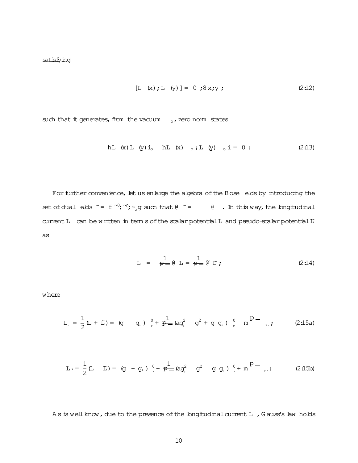$$
[L (x); L (y)] = 0; 8x; y; \qquad (2:12)
$$

such that it generates, from the vacuum  $\circ$ , zero norm states

hL (x) L (y) i<sub>o</sub> hL (x) 
$$
_{o}
$$
; L (y)  $_{o}$  i = 0 : (2:13)

For further convenience, let us enlarge the algebra of the Bose elds by introducing the set of dual elds  $\tilde{f} = f^{-1}$ ;  $\tilde{f}$ ;  $\tilde{f}$  and that  $\theta$   $\tilde{f}$  =  $\theta$ . In this way, the longitudinal current L can be written in term s of the scalar potential L and pseudo-scalar potential  $\Gamma$ as

$$
L = \frac{1}{P - \theta} L = \frac{1}{P - \theta} T;
$$
 (2:14)

where

$$
L_{r} = \frac{1}{2} (L + E) = (g \t g_{+}) \t {0 \t h_{r} + p \t h_{-} (a g_{+}^{2} g_{+}^{2} g_{+}^{2} g_{+}) \t {0 \t h_{r} + p \t h_{-} (a g_{+}^{2} g_{+}^{2} g_{+}) \t {0 \t h_{r} + p \t h_{-} (a g_{+}^{2} g_{+}^{2} g_{+}) \t {0 \t h_{r} + p \t h_{-} (a g_{+}^{2} g_{+}^{2} g_{+}^{2} g_{+}) \t {0 \t h_{r} + p \t h_{-} (a g_{+}^{2} g_{+}^{2} g_{+}^{2} g_{+}) \t {0 \t h_{r} + p \t h_{-} (a g_{+}^{2} g_{+}^{2} g_{+}^{2} g_{+}) \t {0 \t h_{r} + p \t h_{-} (a g_{+}^{2} g_{+}^{2} g_{+}^{2} g_{+}^{2} g_{+}) \t {0 \t h_{r} + p \t h_{-} (a g_{+}^{2} g_{+}^{2} g_{+}^{2} g_{+}^{2} g_{+}^{2} g_{+}^{2} g_{+}^{2} \t {0 \t h_{r} + p \t h_{-} (a g_{+}^{2} g_{+}^{2} g_{+}^{2} g_{+}^{2} g_{+}^{2} g_{+}^{2} g_{+}^{2} \t {0 \t h_{r} + p \t h_{-} (a g_{+}^{2} g_{+}^{2} g_{+}^{2} g_{+}^{2} g_{+}^{2} g_{+}^{2} \t {0 \t h_{r} + p \t h_{-} (a g_{+}^{2} g_{+}^{2} g_{+}^{2} g_{+}^{2} g_{+}^{2} g_{+}^{2} \t {0 \t h_{r} + p \t h_{-} (a g_{+}^{2} g_{+}^{2} g_{+}^{2} g_{+}^{2} g_{+}^{2} g_{+}^{2} \t {0 \t h_{r} + p \t h_{-} (a g_{+}^{2} g_{+}^{2} g_{+}^{2} g_{+}^{2} g_{+}^{2} g_{+}^{2} \t {0 \t h_{r} + p \t h_{-} (a g_{+}^{2} g_{+}^{2} g_{+}^{
$$

$$
L_0 = \frac{1}{2} (L - L) = (g + g_+) \left(1 + \frac{1}{p} \right) (ag_+^2 - g^2) = (g + g_+) \left(1 + m \right)^{p-1} = (2.15b)
$$

As is well know, due to the presence of the longitudinal current L, G auss's law holds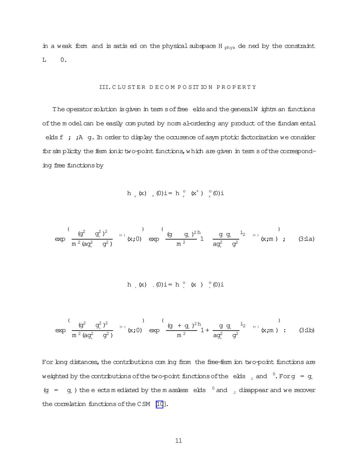in a weak form and is satis ed on the physical subspace  $H_{phys}$  de ned by the constraint  $0.$  $\mathbf{L}$ 

## III. CLUSTER DECOMPOSITION PROPERTY

The operator solution is given in term s of free elds and the general W ightm an functions of the model can be easily computed by norm al-ordering any product of the fundamental elds f ; ; A g. In order to display the occurence of asymptotic factorization we consider for sin plicity the fem ionic two-point functions, which are given in term s of the corresponding free functions by

$$
h_{r}(x)_{r}(0)i = h_{r}(x^{+})_{r}(0)i
$$

$$
\exp\left(\frac{(g^2 - g^2 + g^2)}{m^2 (aq^2 + g^2)}\right) \exp\left(\frac{(g^2 - g^2 + g^2)}{m^2}\right) \left(\frac{q^2 - g^2}{m^2}\right) \left(\frac{q^2 - g^2}{a^2 - g^2}\right) \exp\left(\frac{(g^2 - g^2)}{m^2}\right) \left(\frac{q^2 - g^2}{m^2}\right) \left(\frac{q^2 - g^2}{m^2}\right) \left(\frac{q^2 - g^2}{m^2}\right) \left(\frac{q^2 - g^2}{m^2}\right) \left(\frac{q^2 - g^2}{m^2}\right) \left(\frac{q^2 - g^2}{m^2}\right) \left(\frac{q^2 - g^2}{m^2}\right) \left(\frac{q^2 - g^2}{m^2}\right) \left(\frac{q^2 - g^2}{m^2}\right) \left(\frac{q^2 - g^2}{m^2}\right) \left(\frac{q^2 - g^2}{m^2}\right) \left(\frac{q^2 - g^2}{m^2}\right) \left(\frac{q^2 - g^2}{m^2}\right) \left(\frac{q^2 - g^2}{m^2}\right) \left(\frac{q^2 - g^2}{m^2}\right) \left(\frac{q^2 - g^2}{m^2}\right) \left(\frac{q^2 - g^2}{m^2}\right) \left(\frac{q^2 - g^2}{m^2}\right) \left(\frac{q^2 - g^2}{m^2}\right) \left(\frac{q^2 - g^2}{m^2}\right) \left(\frac{q^2 - g^2}{m^2}\right) \left(\frac{q^2 - g^2}{m^2}\right) \left(\frac{q^2 - g^2}{m^2}\right) \left(\frac{q^2 - g^2}{m^2}\right) \left(\frac{q^2 - g^2}{m^2}\right) \left(\frac{q^2 - g^2}{m^2}\right) \left(\frac{q^2 - g^2}{m^2}\right) \left(\frac{q^2 - g^2}{m^2}\right) \left(\frac{q^2 - g^2}{m^2}\right) \left(\frac{q^2 - g^2}{m^2}\right) \left(\frac{q^2 - g^2}{m^2}\right) \left(\frac{q^2 - g^2}{m^2}\right) \left(\frac{q^2 - g^2}{m^2}\right) \left(\frac{q^2
$$

h (x) 
$$
(0)i = h
$$
 (x)  $(0)i$ 

$$
\exp\left(\frac{(g^2 - g^2 + g^2)}{m^2 (aq^2 + g^2)}\right) \exp\left(\frac{(g + g^2 + g^2)}{m^2} \right) + \frac{1}{aq^2 + g^2} \exp\left(\frac{(g + g^2 + g^2)}{m^2} \right),
$$
 (3.1b)

For bng distances, the contributions com ing from the free-ferm ion two-point functions are weighted by the contributions of the two-point functions of the elds, and  $^0$ . For  $g = g$ . (g =  $g<sub>+</sub>$ ) the e ects m ediated by the m assless elds  $\frac{0}{2}$  and  $\frac{1}{2}$  disappear and we recover the correlation functions of the CSM [10].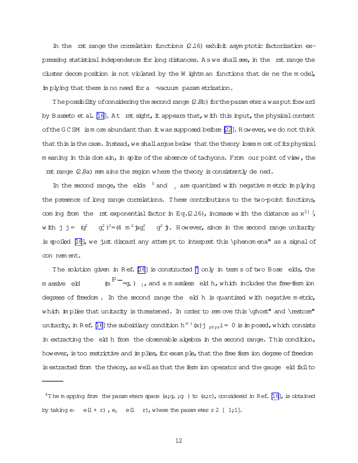In the rst range the correlation functions  $(2.16)$  exhibit asymptotic factorization expressing statistical independence for long distances. A s we shall see, in the rst range the cluster decom position is not violated by the  $W$  ightm an functions that de ne the m odel, im plying that there is no need for a -vacuum param etrization.

The possibility of considering the second range (2.8b) for the param eter a was put forward by Basseto et al.  $[16]$ . At rst sight, it appears that, w ith this input, the physical content of the  $G C SM$  is more abundant than  $\pm w$  as supposed before  $[22]$ . However, we do not think that this is the case. Instead, we shall arque below that the theory loses m ost of its physical m eaning in this dom ain, in spite of the absence of tachyons. From our point of view, the rst range  $(2.8a)$  rem ains the region where the theory is consistently de ned.

In the second range, the elds  $\degree$  and  $\degree$  are quantized with negative m etric im plying the presence of long range correlations. These contributions to the two-point functions, com ing from the rst exponential factor in Eq.(2.16), increase with the distance as  $x^{2j}$ ; with j j =  $(q^2 - q^2_{+})^2 = (4 \pi^2 \frac{1}{2} q^2_{+} - q^2)$ . However, since in the second range unitarity is spoiled [\[16](#page-38-0)], we just discard any attem pt to interpret this \phenom ena" as a signal of connem ent.

The solution given in Ref. [\[16](#page-38-0)] is constructed  $^4$  only in term s of two Bose elds, the m assive eld p  $^-$ =g+ )  $_{1}$ ,and a m assless eld h,which includes the free-ferm ion degrees of freedom. In the second range the eld h is quantized with negative metric, which im plies that unitarity is threatened. In order to rem ove this \ghost" and \restore" unitarity, in Ref. [\[16\]](#page-38-0) the subsidiary condition h $^{(+)}$  (x) j  $_{\rm phys}$  i = 0 is im posed, which consists in extracting the eld h from the observable algebra in the second range. This condition, however, is too restrictive and im plies, for exam ple, that the free ferm ion degree of freedom is extracted from the theory, as well as that the ferm ion operator and the gauge eld fail to

 $4$ The m apping from the param eters space (a;g<sub>+</sub>;g) to (a;r), considered in Ref. [\[16\]](#page-38-0), is obtained by taking e.  $e(1 + r)$ ,  $e_r$   $e(1 r)$ , where the param eter  $r 2$  [ 1;1].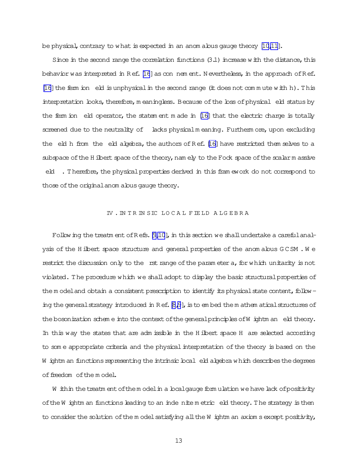be physical, contrary to what is expected in an anom alous gauge theory  $[10,11]$ .

Since in the second range the correlation functions  $(3.1)$  increase with the distance, this behavior was interpreted in Ref.  $[16]$  $[16]$  as con nem ent. N evertheless, in the approach of Ref.  $[16]$  $[16]$  the ferm ion eld is unphysical in the second range (it does not commute with h). This interpretation looks, therefore, m eaningless. Because of the loss of physical eld status by the fiem ion eld operator, the statem ent m ade in  $[16]$  that the electric charge is totally screened due to the neutrality of lacks physicalm eaning. Furtherm ore, upon excluding the eld h from the eld algebra, the authors of  $Ref.$  [\[16\]](#page-38-0) have restricted them selves to a subspace of the H ilbert space of the theory, nam ely to the Fock space of the scalarm assive eld . Therefore, the physical properties derived in this fram ework do not correspond to those of the original anom alous gauge theory.

## IV . IN TRIN SIC LO CAL FIE LD A LG EBRA

Following the treatm ent of  $R$  efs. [\[9,10\]](#page-37-0), in this section we shall undertake a carefulanalysis of the H ilbert space structure and general properties of the anom alous GCSM. We restrict the discussion only to the rst range of the param eter a, for which unitarity is not violated. The procedure which we shalladopt to display the basic structuralproperties of the m odel and obtain a consistent prescription to identify its physical state content, follow-ing the general strategy introduced in R ef. [\[8,9](#page-37-0)], is to em bed the m athem atical structures of the bosonization scheme into the context of the general principles of W ightm an eld theory. In this way the states that are adm issible in the H ilbert space H are selected according to some appropriate criteria and the physical interpretation of the theory is based on the W ightm an functions representing the intrinsic local eld algebra which describes the degrees of freedom of the model.

W ithin the treatm ent of the modelin a localgauge form ulation we have lack of positivity of the W ightm an functions leading to an inde nite m etric eld theory. The strategy is then to consider the solution of the m odel satisfying all the W ightm an axiom sexcept positivity,

13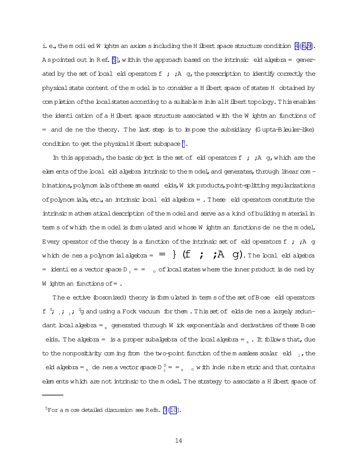i. e., the modied W ightm an axiom sincluding the H ilbert space structure condition  $[4{6,9}]$ . A spointed out in Ref.  $[9]$  $[9]$ , within the approach based on the intrinsic eld algebra = generated by the set of boal eld operators  $f$ ;  $h$  g, the prescription to identify correctly the physical state content of the m odel is to consider a H ilbert space of states H obtained by com pletion of the local states according to a suitablem inim alH ilbert topology. This enables the identi cation of a H ilbert space structure associated with the W ightm an functions of  $=$  and de ne the theory. The last step is to impose the subsidiary (G upta-B leuler-like) condition to get the physical H ilbert subspace  $^5$ .

In this approach, the basic object is the set of eld operators  $f$ ;  $A$  g, which are the elem ents of the local eld algebra intrinsic to the m odel, and generates, through linear com binations, polynom ials of these  $\sin$  eared elds, W ick products, point-splitting regularizations of polynom ials, etc., an intrinsic local eld algebra  $=$  . These eld operators constitute the intrinsic m athem atical description of the m odel and serve as a kind of building m aterial in tem s of which the m odel is form ulated and whose W ightm an functions de ne the m odel. Every operator of the theory is a function of the intrinsic set of eld operators  $f$  ;  $h$  g which de nes a polynom ialalgebra =  $=$   $\{f : f \rightarrow A$  g). The local eld algebra = identies a vector space D<sub>0</sub> = = 0 of local states where the inner product is de ned by W ightm an functions of  $=$ .

The eective (bosonized) theory is form ulated in term s of the set of Bose eld operators f  $^0$ ;  $_1$ ;  $_2$ ;  $^0$ g and using a Fock vacuum for them . This set of elds de nes a largely redundant local algebra =  $B_{\text{B}}$  generated through W ick exponentials and derivatives of these Bose elds. The algebra = is a proper subalgebra of the local algebra =  $_B$ . It follows that, due to the nonpositivity coming from the two-point function of the m assless scalar eld  $_2$ , the eld algebra =  $_B$  de nes a vector space  $D_0^0 = -B_0$  o with inde nite m etric and that contains elem ents which are not intrinsic to the m odel. The strategy to associate a H ilbert space of

 $5$ For a m ore detailed discussion see Refs. [\[7{10\]](#page-37-0).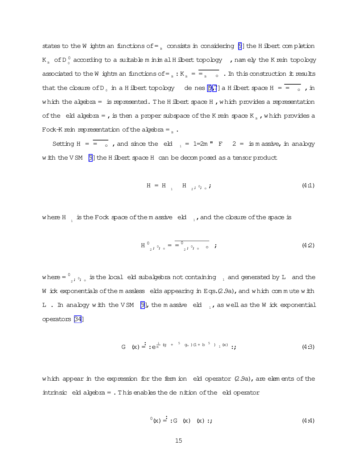states to the W ightm an functions of  $=$   $_{\circ}$  consists in considering [\[9](#page-37-0)] the H ilbert com pletion K  $_{_{\rm B}}\,$  of D  $_{_{\rm O}}^{\rm O}$  according to a suitable m inim alH ilbert topology  $\,$  , namely the K rein topology associated to the W ightm an functions of =  $_B$  : K  $_B$  =  $\frac{1}{B}$   $\frac{1}{B}$  of  $\frac{1}{B}$  in this construction it results that the closure of D<sub>0</sub> in a H ilbert topology de nes [\[9,7](#page-37-0)] a H ilbert space H =  $\frac{1}{\sqrt{2}}$  , in which the algebra = is represented. The H ilbert space H, which provides a representation of the eld algebra = , is then a proper subspace of the K rein space K<sub>R</sub>, which provides a Fock-K rein representation of the algebra =  $\alpha$ .

Setting  $H = \overline{a}$ , and since the eld  $\overline{a}$  = 1=2m " F 2 = is m assive, in analogy with the VSM  $[9]$  the H ilbert space H can be decom posed as a tensor product

$$
H = H \t H_{2}; 0; \t f
$$
 (4:1)

where H  $_{_1}$  is the Fock space of the m assive  $\,$  eld  $_{_{1}}$ , and the closure of the space is

$$
H^{0}{}_{2}; \, O; \, {}_{0} = \frac{1}{2} \frac{1}{2} \frac{1}{2} \frac{1}{2} \frac{1}{2} \frac{1}{2} \frac{1}{2} \frac{1}{2} \frac{1}{2} \frac{1}{2} \frac{1}{2} \frac{1}{2} \frac{1}{2} \frac{1}{2} \frac{1}{2} \frac{1}{2} \frac{1}{2} \frac{1}{2} \frac{1}{2} \frac{1}{2} \frac{1}{2} \frac{1}{2} \frac{1}{2} \frac{1}{2} \frac{1}{2} \frac{1}{2} \frac{1}{2} \frac{1}{2} \frac{1}{2} \frac{1}{2} \frac{1}{2} \frac{1}{2} \frac{1}{2} \frac{1}{2} \frac{1}{2} \frac{1}{2} \frac{1}{2} \frac{1}{2} \frac{1}{2} \frac{1}{2} \frac{1}{2} \frac{1}{2} \frac{1}{2} \frac{1}{2} \frac{1}{2} \frac{1}{2} \frac{1}{2} \frac{1}{2} \frac{1}{2} \frac{1}{2} \frac{1}{2} \frac{1}{2} \frac{1}{2} \frac{1}{2} \frac{1}{2} \frac{1}{2} \frac{1}{2} \frac{1}{2} \frac{1}{2} \frac{1}{2} \frac{1}{2} \frac{1}{2} \frac{1}{2} \frac{1}{2} \frac{1}{2} \frac{1}{2} \frac{1}{2} \frac{1}{2} \frac{1}{2} \frac{1}{2} \frac{1}{2} \frac{1}{2} \frac{1}{2} \frac{1}{2} \frac{1}{2} \frac{1}{2} \frac{1}{2} \frac{1}{2} \frac{1}{2} \frac{1}{2} \frac{1}{2} \frac{1}{2} \frac{1}{2} \frac{1}{2} \frac{1}{2} \frac{1}{2} \frac{1}{2} \frac{1}{2} \frac{1}{2} \frac{1}{2} \frac{1}{2} \frac{1}{2} \frac{1}{2} \frac{1}{2} \frac{1}{2} \frac{1}{2} \frac{1}{2} \frac{1}{2} \frac{1}{2} \frac{1}{2} \frac{1}{2} \frac{1}{2} \frac{1}{2} \frac{1}{2} \frac{1}{2} \frac{1}{
$$

where  $=$   $^0$  $_2$ ;  $_3$ ,  $_5$  is the local eld subalgebra not containing  $_{-1}$  and generated by L and the W ick exponentials of the m assless elds appearing in Eqs.(2.9a), and which commute with L. In analogy with the VSM [\[9\]](#page-37-0), the m assive eld  $\overline{1}$ , as well as the W ick exponential operators[\[34\]](#page-39-0)

$$
G(x) = \frac{1}{x} \cdot e^{\frac{i}{m}(g + 5g_{+})(1 + b^{-5})} \cdot \frac{1}{x}.
$$
 (4.3)

which appear in the expression for the ferm ion eld operator  $(2.9a)$ , are elem ents of the intrinsic  $e$ ld algebra = . This enables the de nition of the  $e$ ld operator

$$
{}^{0}(x) = :G(x) (x) :;
$$
 (4.4)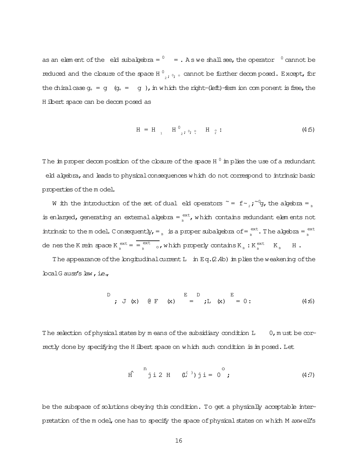as an elem ent of the eld subalgebra =  $^0$   $\,$  = . As we shall see, the operator  $^{\,0}$  cannot be reduced and the closure of the space H $^0$  $_{_{2}}$  ,  $_{\circ}$  , cannot be further decom posed. Except, for the chiralcase  $g_+ = g$  ( $g_+ = g$ ), in which the right-(left)-ferm ion component is free, the H ilbert space can be decom posed as

$$
H = H_{1} \t H_{2}^{0}, \t Q, H_{2} : (4.5)
$$

The im proper decom position of the closure of the space H  $^0$  im plies the use of a redundant eld algebra, and leads to physical consequences which do not correspond to intrinsic basic properties of the m odel.

W ith the introduction of the set of dual eld operators  $\tilde{f} = f \tilde{f} \tilde{f}$ , the algebra =  $\tilde{f}$ is enlarged, generating an external algebra =  $e^{\text{ext}}$  $\mathcal{L}_{\text{B}}^{\text{ext}}$ , which contains redundant elements not intrinsic to the model. Consequently,  $=$  B is a proper subalgebra of  $=$   $e^{ext}$  $\frac{ext}{B}$ . The algebra =  $\frac{ext}{B}$ B de nes the K rein space  $K_{\text{R}}^{\text{ext}}$  $\frac{ext}{B} = \frac{ext}{B}$  $\mathcal{B}_{\text{B}}^{\text{ext}}$  o, which properly contains  $K_{\text{B}}$ :  $K_{\text{B}}^{\text{ext}}$  $_{B}$   $K_{B}$   $H$ .

The appearance of the longitudinal current L in Eq.(2.4b) in plies the weakening of the localG auss's law,i.e.,

D  

$$
\vec{E}
$$
 D E D  
 $\vec{E}$  (4:6)  
 $\vec{E}$  (4:6)

The selection of physical states by m eans of the subsidiary condition  $L \t 0$ , m ust be correctly done by specifying the H ilbert space on which such condition is in posed. Let

$$
\text{If} \quad \text{if} \quad \text{if} \quad (4:7)
$$

be the subspace of solutions obeying this condition. To get a physically acceptable interpretation of the m odel, one has to specify the space of physical states on which M axwell's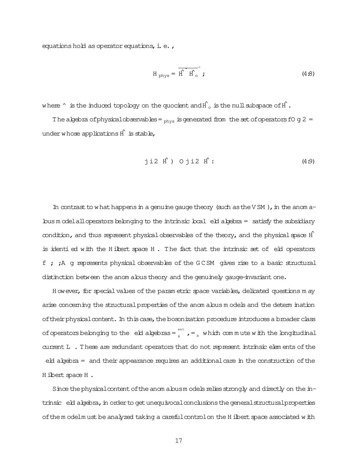equations hold as operator equations, i. e.,

$$
H_{\text{phys}} = \overrightarrow{H} \cdot \overrightarrow{H}_{\text{o}}^{\text{max}};
$$
 (4.8)

where  $\hat{\ }$  is the induced topology on the quocient and  $\hat{H}^{\hat{}}$  is the null subspace of  $\hat{H}$ .

The algebra of physical observables =  $_{phys}$  is generated from the set of operators fO g 2 = under whose applications  $\hat{H}$  is stable,

jii2 
$$
\hat{H}
$$
 ) Oji2  $\hat{H}$ : (4.9)

In contrast to what happens in a genuine gauge theory (such as the V SM), in the anom  $a \Delta$  bus m odelall operators belonging to the intrinsic  $\Delta$ cal eblack algebra = satisfy the subsidiary condition, and thus represent physical observables of the theory, and the physical space  $\hat{H}$ is identi ed with the H ilbert space H. The fact that the intrinsic set of eld operators f ; ;A g represents physical observables of the G CSM gives rise to a basic structural distinction between the anom alous theory and the genuinely gauge-invariant one.

H owever, for special values of the param etric space variables, delicated questions m ay arise concerning the structural properties of the anom alous m odels and the determ ination of their physical content. In this case, the bosonization procedure introduces a broader class of operators belonging to the eld algebras =  $\frac{e^{2\pi}}{n}$  $\mathbf{B}_{\text{B}}^{\text{ext}}$  ,  $\mathbf{B}_{\text{B}}$  which commute with the longitudinal current L . These are redundant operators that do not represent intrinsic elem ents of the eld algebra = and their appearance requires an additional care in the construction of the H ilbert space H.

Since the physical content of the anom alous m odels relies strongly and directly on the in $t$ rinsic  $e$ ld algebra, in order to get unequivocal conclusions the general structural properties of the m odelm ust be analyzed taking a careful control on the H ilbert space associated with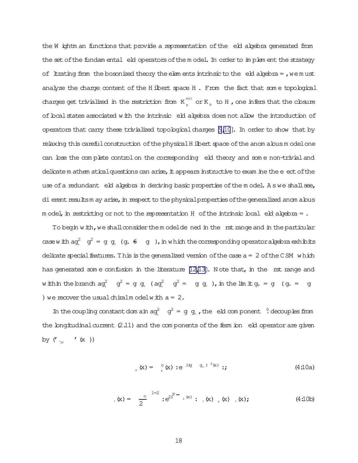the W ightm an functions that provide a representation of the eld algebra generated from the set of the fundam ental eld operators of the model. In order to implement the strategy of litrating from the bosonized theory the elements intrinsic to the eld algebra =  $,$  we must analyze the charge content of the H ilbert space H. From the fact that some topological charges get trivialized in the restriction from  $K_{\text{B}}^{\text{ext}}$  or  $K_{\text{B}}$  to H, one infers that the closure of local states associated with the intrinsic eld algebra does not allow the introduction of operators that carry these trivialized topological charges  $[9,10]$ . In order to show that by relaxing this careful construction of the physical H ilbert space of the anom alous model one can bse the complete control on the corresponding eld theory and some non-trivial and delicate m athem atical questions can arise, it appears instructive to exam ine the e ect of the use of a redundant eld algebra in deriving basic properties of the model. As we shall see, di erent results m ay arise, in respect to the physical properties of the generalized anom alous m odel, in restricting or not to the representation  $H$  of the intrinsic local eld algebra = .

To begin with, we shall consider them odelde ned in the rst range and in the particular case with  $ag_1^2$   $g^2 = g g_1 (g_1 \theta - g)$ , in which the corresponding operator algebra exhibits delicate special features. This is the generalized version of the case  $a = 2$  of the CSM which has generated some confusion in the literature  $[12,13]$ . Note that, in the rst range and within the branch  $ag^2$   $g^2 = g g$ ,  $(g^2 + g^2) = g g$ ,  $h$  in the limit  $g_1 = g$   $(g_1 = g)$ ) we recover the usual chiralm odelw ith  $a = 2$ .

In the coupling constant dom ain  $ag^2$   $g^2 = g g$ , the eld component  $\sqrt[0]{}$  decouples from the longitudinal current  $(2.11)$  and the components of the ferm ion eld operator are given by  $('$   $\lq_{\varkappa}$   $~$   $~'$   $(\mathtt{x}$   $~))$ 

$$
E_{\rm r}(\mathbf{x}) = \left( \begin{array}{cc} \circ & \circ & \circ \\ \circ & \circ & \circ \end{array} \right) \cdot e^{-i(\mathbf{g} - \mathbf{g}_{+})^{-1}(\mathbf{x})} \tag{4.10a}
$$

$$
h(x) = \frac{1}{2} e^{2t^2} \cdot e^{2t^2} \cdot h(x) \cdot h(x) + h(x), \quad (x) = \frac{1}{2} e^{2t^2} \cdot e^{2t^2} \cdot h(x) \cdot h(x) + h(x) \tag{4.10b}
$$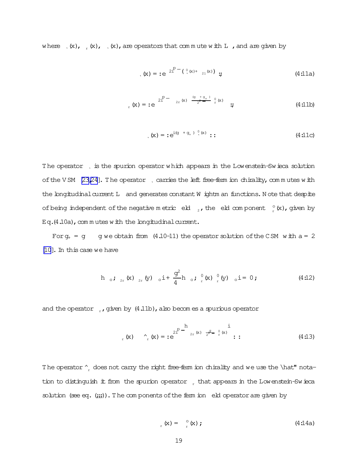where  $(x)$ ,  $(x)$ ,  $(x)$ ,  $(x)$ , are operators that commute with L, and are given by

$$
h_{\mathbf{X}}(\mathbf{x}) = \mathbf{e}^{-2\sum_{i=1}^{p} (\mathbf{Q}_{i}(\mathbf{x}) + \mathbf{Q}_{i}(\mathbf{x}))} ; \qquad (4.11a)
$$

$$
E_{r}(x) = :e^{2\sum_{r=0}^{p} (x) \frac{(q+q+1)}{2} \int_{r}^{0} (x)} \qquad ; \qquad (4:11b)
$$

$$
h_{\mathbf{X}}(\mathbf{x}) = \mathbf{e}^{\mathrm{i}(\mathbf{g} + \mathbf{g}_+) \cdot \mathbf{Q}(\mathbf{x})} \; : \; \mathbf{B} \; \mathbf{B} \; \mathbf{B} \; \mathbf{A} \; \mathbf{A} \; \mathbf{A} \; \mathbf{A} \; \mathbf{A} \; \mathbf{A} \; \mathbf{A} \; \mathbf{A} \; \mathbf{A} \; \mathbf{A} \; \mathbf{A} \; \mathbf{A} \; \mathbf{A} \; \mathbf{A} \; \mathbf{A} \; \mathbf{A} \; \mathbf{A} \; \mathbf{A} \; \mathbf{A} \; \mathbf{A} \; \mathbf{A} \; \mathbf{A} \; \mathbf{A} \; \mathbf{A} \; \mathbf{A} \; \mathbf{A} \; \mathbf{A} \; \mathbf{A} \; \mathbf{A} \; \mathbf{A} \; \mathbf{A} \; \mathbf{A} \; \mathbf{A} \; \mathbf{A} \; \mathbf{A} \; \mathbf{A} \; \mathbf{A} \; \mathbf{A} \; \mathbf{A} \; \mathbf{A} \; \mathbf{A} \; \mathbf{A} \; \mathbf{A} \; \mathbf{A} \; \mathbf{A} \; \mathbf{A} \; \mathbf{A} \; \mathbf{A} \; \mathbf{A} \; \mathbf{A} \; \mathbf{A} \; \mathbf{A} \; \mathbf{A} \; \mathbf{A} \; \mathbf{A} \; \mathbf{A} \; \mathbf{A} \; \mathbf{A} \; \mathbf{A} \; \mathbf{A} \; \mathbf{A} \; \mathbf{A} \; \mathbf{A} \; \mathbf{A} \; \mathbf{A} \; \mathbf{A} \; \mathbf{A} \; \mathbf{A} \; \mathbf{A} \; \mathbf{A} \; \mathbf{A} \; \mathbf{A} \; \mathbf{A} \; \mathbf{A} \; \mathbf{A} \; \mathbf{A} \; \mathbf{A} \; \mathbf{A} \; \mathbf{A} \; \mathbf{A} \; \mathbf{A} \; \mathbf{A} \; \mathbf{A} \; \mathbf{A} \; \mathbf{A
$$

The operator, is the spurion operator which appears in the Lowenstein-Swieca solution of the V SM  $[23,24]$ . The operator  $\Box$  carries the left free-ferm ion chirality, commutes with the longitudinal current L and generates constant W ightm an functions. Note that despite of being independent of the negative metric eld  $\frac{1}{2}$ , the eld component  $\frac{1}{r}$  (x), given by  $Eq.(4.10a)$ , com m utes with the longitudinal current.

For  $q_+ = q$  g we obtain from (4.10-11) the operator solution of the CSM with  $a = 2$ [\[10](#page-37-0)].In thiscase we have

h <sub>o</sub>; <sub>2r</sub> (x) <sub>2r</sub> (y) <sub>o</sub> i + 
$$
\frac{g^2}{4}
$$
 h <sub>o</sub>; <sub>r</sub><sup>0</sup> (x) <sub>r</sub><sup>0</sup> (y) <sub>o</sub> i = 0; (4:12)

and the operator  $\mu$ , given by (4.11b), also becom es a spurious operator

$$
\int_{r}^{R} (x) \, dx = e^{2 \int_{r}^{R} \, dx} \int_{r}^{R} \int_{r}^{x} (x) \, dx = \int_{r}^{R} \int_{r}^{R} \int_{r}^{x} (x) \, dx = \int_{r}^{R} \int_{r}^{R} (x) \, dx = \int_{r}^{R} (x) \, dx \tag{4.13}
$$

The operator  $\hat{r}_r$  does not carry the right free-ferm ion chirality and we use the \hat" notation to distinguish it from the spurion operator  $r$  that appears in the Lowenstein-Swieca solution (see eq.  $(|;;;;)\)$ . The com ponents of the ferm ion eld operator are given by

$$
L_{\rm r}(\mathbf{x}) = \int_{\rm r}^{\rm o}(\mathbf{x}) \; ; \tag{4.14a}
$$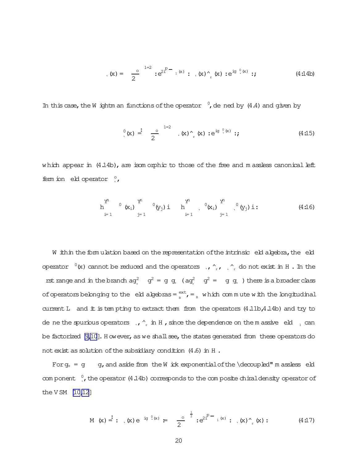$$
(\mathbf{x}) = \frac{0}{2}^{1-2} : e^{2t^{D} - 1^{(x)}} : (\mathbf{x})_{r}^{(x)} : e^{i g^{(0)}(x)} : (4.14b)
$$

In this case, the W ightm an functions of the operator  $\,^0$ , de ned by (4.4) and given by

$$
\binom{0}{x} \stackrel{\cdot}{=} \frac{0}{2} \stackrel{1=2}{\ldots} (x) \stackrel{x}{\cdot} (x) : e^{i g} \stackrel{0}{\cdot} (x) : f
$$
 (4.15)

which appear in  $(4.14b)$ , are isom or phic to those of the free and m assless canonical left fem ion eld operator  $\degree$ ,

$$
h \qquad \qquad h \qquad \qquad 0 \qquad (x_i) \qquad \qquad 0 \qquad (y_j) \qquad \qquad h \qquad \qquad 0 \qquad (x_i) \qquad \qquad 0 \qquad (y_j) \qquad \vdots \qquad \qquad (4.16)
$$

W ithin the formulation based on the representation of the intrinsic eld algebra, the eld operator  $\sqrt[0]{x}$  cannot be reduced and the operators ,  $\gamma$ ,  $\gamma$ ,  $\gamma$  do not exist in H. In the rst range and in the branch  $ag^2$   $g^2 = g g$ ,  $ag^2$   $g^2 = g g$ , there is a broader class of operators belonging to the eld algebras =  ${}_{\scriptscriptstyle{R}}^{\text{ext}}$ , =  ${}_{\scriptscriptstyle{B}}$  which commute with the longitudinal current L and it is tem pting to extract them from the operators (4.11b, 4.14b) and try to de ne the spurious operators  $\alpha$ ,  $\alpha$  in H, since the dependence on the m assive eld  $\alpha$  and be factorized  $[9,10]$ . However, as we shall see, the states generated from these operators do not exist as solution of the subsidiary condition (4.6) in H.

For  $g_+ = g$  g, and aside from the W ick exponential of the \decoupled" m assless eld com ponent  $\frac{0}{x}$ , the operator (4.14b) corresponds to the composite chiral density operator of the  $VSM$  [10,12]

$$
M(x) = \mathbf{i} \cdot (x) e^{-i g(x)} = \frac{0}{2} e^{-\frac{1}{2}} e^{2i^{p-1}(x)} \mathbf{i} \cdot (x) \cdot (x) \cdot (x) \tag{4.17}
$$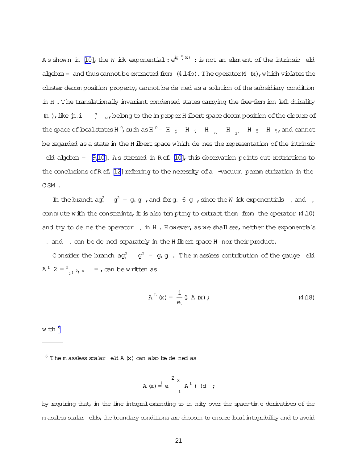Asshown in [\[10](#page-37-0)], the Wick exponential:  $\mathrm{e}^{\mathrm{i} g\ {}_{\circ}^{0}\,(x)}$  : is not an element of the intrinsic eld algebra = and thus cannot be extracted from  $(4.14b)$ . The operator M  $(x)$ , which violates the cluster decom position property, cannot be de ned as a solution of the subsidiary condition in H. The translationally invariant condensed states carrying the free-ferm ion left chirality  $(n,)$ , like  $n,i$  $\sum_{i=0}^{n}$ , belong to the improper H ilbert space decomposition of the closure of the space of boalstates H<sup>0</sup>, such as H<sup>0</sup> = H<sub>2</sub> H<sub>2</sub> H<sub>2</sub> H<sub>2</sub>, H<sub>2</sub> H<sub>2</sub> H<sub>2</sub> H<sub>2</sub>, and cannot be regarded as a state in the H ilbert space which de nes the representation of the intrinsic eld algebra =  $[9,10]$ . A s stressed in Ref. [\[10\]](#page-37-0), this observation points out restrictions to the conclusions of Ref. [\[12](#page-38-0)] referring to the necessity of a -vacuum param etrization in the CSM .

In the branch  $ag_{+}^{2}$   $g_{+}^{2} = g_{+}g$ , and for  $g_{+} \oplus g$ , since the W ick exponentials, and r com m ute with the constraints, it is also tem pting to extract them from the operator  $(4.10)$ and try to de ne the operator  $\Box$  in H. H owever, as we shall see, neither the exponentials and can be de ned separately in the H ilbert space H nor their product.

Consider the branch  $a g_+^2 = g_+ g$  . The m assless contribution of the gauge eld  $A^L 2 = 0$  $\sum_{2}$ ;  $\circ$ ,  $\circ$  = , can be written as

$$
AL(x) = \frac{1}{e} @ A(x); \qquad (4:18)
$$

with  $^6$ 

 $6$  The m assless scalar eld A  $(x)$  can also be de ned as

$$
A(x) \stackrel{\cdot}{=} e, \begin{pmatrix} 2 & x \\ x & A^L \\ 1 & 1 \end{pmatrix} (d ;
$$

by requiring that, in the line integral extending to in nity over the space-time derivatives of the m assless scalar elds, the boundary conditions are choosen to ensure local integrability and to avoid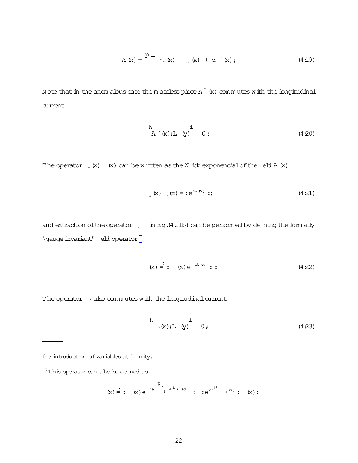$$
A(x) = \begin{bmatrix} P - \\ 2(x) \\ 2(x) + e^{-0}(x) \\ \end{bmatrix}
$$
 (4.19)

N ote that in the anom alous case the m assless piece  $A<sup>L</sup>$  (x) commutes with the longitudinal current

$$
{}_{A^{L}}^{h}(x);L(y) = 0: \t(420)
$$

The operator  $(x)$ ,  $(x)$  can be written as the W ick exponencial of the eld A  $(x)$ 

$$
E_{\rm r}(\mathbf{x}) \quad , \, (\mathbf{x}) = \mathbf{e}^{\mathrm{i} \mathbf{A}(\mathbf{x})} \; : \; \mathbf{y} \tag{4.21}
$$

and extraction of the operator  $\Box$  , in Eq.(4.11b) can be performed by dening the form ally  $\label{eq:qauge} $$ \gauge invariant" ebl operator<sup>7</sup>$ 

$$
(x) \stackrel{\text{!}}{=}:
$$
  $(x) e^{iA(x)}:$  (4.22)

The operator  $\cdot$  also commutes with the longitudinal current

$$
h \t i \t (x); L \t (y) = 0; \t (4.23)
$$

the introduction of variables at in nity.

 $7$ T his operator can also be de ned as

$$
P_{\mathbf{X}}(x) = \begin{cases} \n\vdots & \text{if } x \in \mathbb{R}^n, \\
\mathbf{X} & \text{if } x \in \mathbb{R}^n, \\
\mathbf{X} & \text{if } x \in \mathbb{R}^n.\n\end{cases}
$$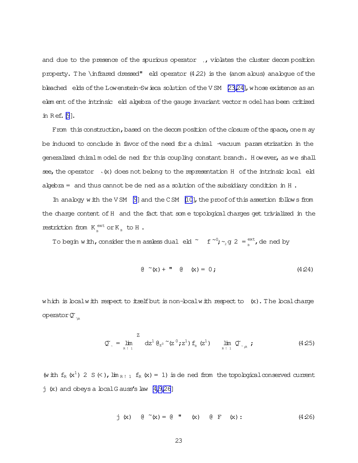and due to the presence of the spurious operator, violates the cluster decomposition property. The \infrared dressed" eld operator  $(4.22)$  is the (anom alous) analogue of the bleached elds of the Lowenstein-Swieca solution of the VSM [\[23,24\]](#page-38-0), whose existence as an elem ent ofthe intrinsic eld algebra ofthe gauge invariant vector m odelhas been critized in Ref.  $[9]$  $[9]$ .

From this construction, based on the decom position of the closure of the space, one m ay be induced to conclude in favor of the need for a chiral -vacuum param etrization in the generalized chiralm odel de ned for this coupling constant branch. However, as we shall see, the operator  $\cdot$  (x) does not belong to the representation H of the intrinsic local eld algebra = and thus cannot be dened as a solution of the subsidiary condition in H.

In analogy with the V SM [\[9\]](#page-37-0) and the C SM  $[10]$ , the proof of this assertion follows from the charge content of H and the fact that some topological charges get trivialized in the restriction from K ext  $_{\text{B}}^{\text{ext}}$  or K<sub>B</sub> to H.

To begin with, consider the m assless dual eld  $\sim$  f  $\sim$   $\frac{1}{2}$   $\sim$   $\sim$   $\frac{1}{2}$   $\approx$   $\frac{1}{2}$   $\approx$   $\frac{1}{2}$  $\mathsf{R}_{\scriptscriptstyle{\mathsf{B}}}^{\scriptscriptstyle{\mathsf{ext}}}$ , de ned by

$$
Q^{(1)}(x) + T^{(2)}(x) = 0;
$$
 (4.24)

which is localwith respect to itself but is non-localwith respect to  $(x)$ . The local charge operator Q<sup>~</sup><sub>\*R</sub>

$$
\mathcal{Q}_{\sim} = \lim_{R \to 1} \frac{Z}{1} \, dz^{1} \, \theta_{z^{0}} \, \tilde{z}^{1} \, (z^{0}; z^{1}) \, f_{R}(z^{1}) \qquad \lim_{R \to 1} \, \mathcal{Q}_{\sim_{R} R}(z^{1}) \qquad (4.25)
$$

(with  $f_R(x^1)$  2 S (< ),  $\lim_{R \to 1} f_R(x) = 1$ ) is de ned from the topological conserved current  $j$  (x) and obeys a local G auss's law  $[4,9,26]$  $[4,9,26]$ 

j (x) 
$$
\theta
$$
 ~ (x) =  $\theta$  **"** (x)  $\theta$  F (x) : (426)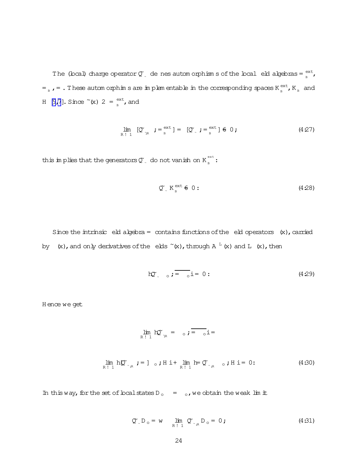The (local) charge operator  $\mathcal{Q}^*$  de nes autom orphism s of the local eld algebras =  $\frac{ext}{n}$ ext<br><sub>B</sub> =  $_{_{\rm B}}$  , = . These autom orphim s are implem entable in the corresponding spaces K  $_{_{\rm B}}^{\rm ext}$  $_{B}^{\text{ext}}$ ,  $K_{B}$  and H [\[9,7](#page-37-0)]. Since  $\tilde{f}(x)$  2 =  $\frac{\text{ext}}{n}$  $_{\text{\tiny B}}^{\text{\tiny ext}}$ , and

$$
\lim_{R \uparrow 1} [\mathcal{Q}_{\gamma_R} \; ; = \, \sup_{B} \; ] = [\mathcal{Q}_{\gamma} \; ; = \, \sup_{B} \; ] \; \in \; 0 \; ; \tag{4.27}
$$

this implies that the generators  $\mathfrak{C}_\mathbb{L}^-$  do not vanish on  $K_{_{\mathrm{B}}}^{\mathrm{ext}}$  $\frac{1}{B}$  :

$$
\mathcal{Q}_{\alpha}^{\alpha} K_{\beta}^{\text{ext}} \in 0: \qquad (4.28)
$$

Since the intrinsic eld algebra = contains functions of the eld operators  $(x)$ , carried by  $(x)$ , and only derivatives of the elds ~ $(x)$ , through A  $^{\text{T}}$  (x) and L  $(x)$ , then

$$
h\mathfrak{D}_{\sim} \quad \circ \mathfrak{f} = \quad \circ i = 0:
$$
 (4.29)

H ence we get

$$
\lim_{R \uparrow 1} \mathsf{h} \mathfrak{O}_{\gamma_R} = \circ i = \circ i =
$$
\n
$$
\lim_{R \uparrow 1} \mathsf{h} \mathfrak{O}_{\gamma_R} : = \mathsf{h} \circ i \mathsf{H} \mathsf{h} + \lim_{R \uparrow 1} \mathsf{h} = \mathfrak{O}_{\gamma_R} \circ i \mathsf{H} \mathsf{h} = 0: \tag{4.30}
$$

In this way, for the set of local states D<sub>o</sub> =  $_{\circ}$ , we obtain the weak lim it

$$
\tilde{Q}_{\sim} D_{\circ} = w \qquad \lim_{R \uparrow 1} \tilde{Q}_{\sim_{R} D_{\circ}} = 0 ; \qquad (4.31)
$$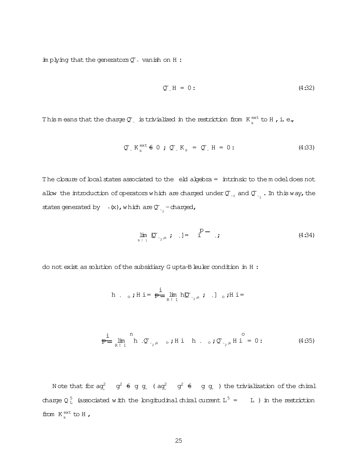implying that the generators  $Q^{\sim}$  vanish on H:

$$
\mathbb{Q}^* \mathbb{H} = 0: \tag{4.32}
$$

This means that the charge  $\mathcal{Q}$ , is trivialized in the restriction from  $K_{\rm B}^{\rm ext}$  to H , i. e.,

$$
\mathcal{Q}_{\alpha}^{\alpha} K_{\alpha}^{\text{ext}} \oplus 0 ; \mathcal{Q}_{\alpha}^{\alpha} K_{\beta} = \mathcal{Q}_{\alpha}^{\alpha} H = 0 ; \qquad (4.33)
$$

The closure of local states associated to the eld algebra = intrinsic to the model does not allow the introduction of operators which are charged under  $\mathfrak{C}_{\sim}$  and  $\mathfrak{C}_{\sim}$  . In this way, the states generated by  $\rightarrow$  (x), which are  $\sigma_{\gamma_2}$  -charged,

$$
\lim_{R \to 1} \mathbb{D}_{z_2, R} \; ; \quad J = \quad 1 \qquad , \tag{4.34}
$$

do not exist as solution of the subsidiary Gupta-B leuler condition in H :

h , 
$$
\circ
$$
; H i =  $\frac{1}{p}$   $\lim_{R \uparrow 1} h \mathbb{C}_{\sim_2 R}$ ; , ]  $\circ$ ; H i =

$$
\frac{1}{p} \lim_{R \uparrow 1} \begin{array}{c} n \\ h \sqrt{2} \\ \sqrt{2} \\ \sqrt{2} \\ \sqrt{3} \\ \sqrt{4} \\ \sqrt{4} \\ \sqrt{1} \\ \sqrt{4} \\ \sqrt{1} \\ \sqrt{1} \\ \sqrt{1} \\ \sqrt{1} \\ \sqrt{1} \\ \sqrt{1} \\ \sqrt{1} \\ \sqrt{1} \\ \sqrt{1} \\ \sqrt{1} \\ \sqrt{1} \\ \sqrt{1} \\ \sqrt{1} \\ \sqrt{1} \\ \sqrt{1} \\ \sqrt{1} \\ \sqrt{1} \\ \sqrt{1} \\ \sqrt{1} \\ \sqrt{1} \\ \sqrt{1} \\ \sqrt{1} \\ \sqrt{1} \\ \sqrt{1} \\ \sqrt{1} \\ \sqrt{1} \\ \sqrt{1} \\ \sqrt{1} \\ \sqrt{1} \\ \sqrt{1} \\ \sqrt{1} \\ \sqrt{1} \\ \sqrt{1} \\ \sqrt{1} \\ \sqrt{1} \\ \sqrt{1} \\ \sqrt{1} \\ \sqrt{1} \\ \sqrt{1} \\ \sqrt{1} \\ \sqrt{1} \\ \sqrt{1} \\ \sqrt{1} \\ \sqrt{1} \\ \sqrt{1} \\ \sqrt{1} \\ \sqrt{1} \\ \sqrt{1} \\ \sqrt{1} \\ \sqrt{1} \\ \sqrt{1} \\ \sqrt{1} \\ \sqrt{1} \\ \sqrt{1} \\ \sqrt{1} \\ \sqrt{1} \\ \sqrt{1} \\ \sqrt{1} \\ \sqrt{1} \\ \sqrt{1} \\ \sqrt{1} \\ \sqrt{1} \\ \sqrt{1} \\ \sqrt{1} \\ \sqrt{1} \\ \sqrt{1} \\ \sqrt{1} \\ \sqrt{1} \\ \sqrt{1} \\ \sqrt{1} \\ \sqrt{1} \\ \sqrt{1} \\ \sqrt{1} \\ \sqrt{1} \\ \sqrt{1} \\ \sqrt{1} \\ \sqrt{1} \\ \sqrt{1} \\ \sqrt{1} \\ \sqrt{1} \\ \sqrt{1} \\ \sqrt{1} \\ \sqrt{1} \\ \sqrt{1} \\ \sqrt{1} \\ \sqrt{1} \\ \sqrt{1} \\ \sqrt{1} \\ \sqrt{1} \\ \sqrt{1} \\ \sqrt{1} \\ \sqrt{1} \\ \sqrt{1} \\ \sqrt{1} \\ \sqrt{1} \\ \sqrt{1} \\ \sqrt{1} \\ \sqrt{1} \\ \sqrt{1} \\ \sqrt{1} \\ \sqrt{1} \\ \sqrt{1} \\ \sqrt{1} \\ \sqrt{1} \\ \sqrt{1} \\ \sqrt{1} \\ \sqrt{1} \\ \sqrt{1} \\ \sqrt{1} \\ \sqrt{1} \\ \sqrt{1} \\ \sqrt{1} \\ \sqrt{1} \\ \sqrt{1} \\ \
$$

Note that for  $ag^2$   $g^2$   $\theta$   $g$   $g$ ,  $(g^2)$   $g^2$   $\theta$   $g$   $g$ , the trivialization of the chiral charge  $Q_L^5$  (associated with the longitudinal chiral current  $L^5 = L$ ) in the restriction from  $K_{R}^{\text{ext}}$  to H,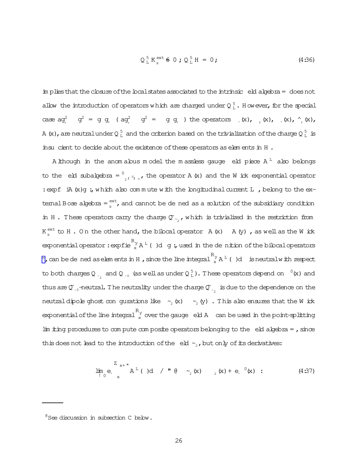$$
Q_L^5 K_{\rm B}^{\rm ext} \triangleq 0; Q_L^5 H = 0; \qquad (4.36)
$$

in plies that the closure of the local states associated to the intrinsic eld algebra = does not allow the introduction of operators which are charged under  $Q_L^5$ . However, for the special case  $ag^2$   $g^2 = g g$ ,  $(g^2) = g g$ ,  $h$  the operators  $(x)$ ,  $(x)$ ,  $(x)$ ,  $(x)$ ,  $(x)$ ,  $(x)$ ,  $h$ A (x), are neutral under Q $_{\rm L}^5$  and the criterion based on the trivialization of the charge Q $_{\rm L}^5$  is insu cient to decide about the existence of these operators as elements in H.

A lihough in the anomabus model the massless gauge eld piece  $A<sup>L</sup>$  also belongs to the eld subalgebra =  $\frac{0}{2}$ ,  $\frac{1}{2}$ ,  $\frac{1}{2}$ , the operator A (x) and the W ick exponential operator : expf iA  $(x)$ g; which also commute with the longitudinal current L, belong to the extemal Bose algebra =  $_{\rm R}^{\rm ext}$ , and cannot be de ned as a solution of the subsidiary condition in H. These operators carry the charge  $\mathfrak{C}_{\sim}$ , which is trivialized in the restriction from  $K_{n}^{\text{ext}}$  to H. On the other hand, the bibcal operator  $A(x)$   $A(y)$ , as well as the W ick exponential operator:  $\exp fie_{x}^{R_{y}}A^{L}$  ( )d g; used in the de nition of the bilocal operators  $^8$ , can be de ned as elements in H, since the line integral  $^R_x$  A<sup>L</sup> ()d is neutralwith respect to both charges Q  $_{\sim_2}$  and Q  $_{\sim_0}$  (as well as under Q  $_1^5$ ). These operators depend on  $^{-0}$ (x) and thus are  $\mathfrak{Q}_{\sim_{0}}$ -neutral. The neutrality under the charge  $\mathfrak{Q}_{\sim_{2}}^{*}$  is due to the dependence on the neutral dipole ghost con-gurations like  $\sim_2$  (x)  $\sim_2$  (y). This also ensures that the W ick exponential of the line integral  $\int_{x}^{K_y}$  over the gauge eld A can be used in the point-splitting  $\lim$  im  $\lim$  procedures to compute composite operators belonging to the eld algebra = , since this does not lead to the introduction of the eld  $\sim_z$ , but only of its derivatives:

$$
\lim_{t \to 0} e, \int_{x}^{Z_{x+}} A^{L} (x) d \quad / \quad (d \quad Z_{2}(x) \quad Z_{2}(x) + e, \quad (d \quad 37)
$$

 $8$ See discussion in subsection C below.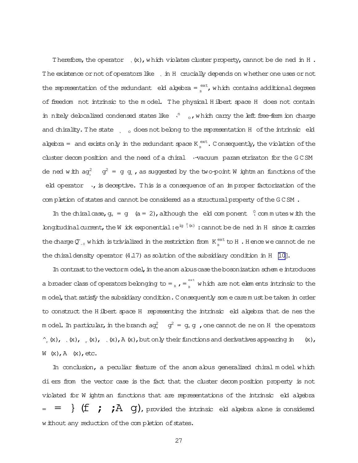Therefore, the operator  $(x)$ , which violates cluster property, cannot be dened in H. The existence or not of operators like, in H crucially depends on whether one uses or not the representation of the redundant eld algebra =  $_{\text{B}}^{\text{ext}}$ , which contains additional degrees of freedom not intrinsic to the model. The physical Hilbert space H does not contain in nitely delocalized condensed states like  $\lambda^n$  o, which carry the left free-ferm ion charge and chirality. The state  $\frac{1}{100}$  does not belong to the representation H of the intrinsic eld algebra = and exists only in the redundant space  $K_{R}^{ext}$ . Consequently, the violation of the cluster decomposition and the need of a chiral v-vacuum parametrizaton for the GCSM de ned with  $ag^2$   $g^2 = g g$ , as suggested by the two-point W ightm an functions of the eld operator, is deceptive. This is a consequence of an improper factorization of the completion of states and cannot be considered as a structural property of the GCSM.

In the chiral case,  $q_+ = q$  (a = 2), although the eld component  $\sqrt{q}$  commutes with the longitudinal current, the W ick exponential:  $e^{iq \theta(x)}$ : cannot be de ned in H since it carries the charge  $\mathfrak{O}_{\mathfrak{g}_0}$  which is trivialized in the restriction from  $K_{\mathfrak{g}}^{\text{ext}}$  to H. Hence we cannot de ne the chiral density operator  $(4.17)$  as solution of the subsidiary condition in H [10].

In contrast to the vectorm odel, in the anom abus case the bosonization scheme introduces a broader class of operators belonging to =  $_{\textrm{B}}$ , =  $_{\textrm{B}}^{\textrm{ext}}$  which are not elements intrinsic to the m odel, that satisfy the subsidiary condition. Consequently some care must be taken in order to construct the H ilbert space H representing the intrinsic eld algebra that de nes the m odel. In particular, in the branch  $ag<sub>+</sub><sup>2</sup> - g<sub>+</sub> g$ , one cannot de ne on H the operators  $\gamma_{r}(x)$ ,  $(x)$ ,  $_{r}(x)$ ,  $(x)$ ,  $(x)$ ,  $(x)$ , but only their functions and derivatives appearing in  $(x)$ ,  $W(x), A(x), etc.$ 

In conclusion, a peculiar feature of the anomalous generalized chiral model which di ers from the vector case is the fact that the cluster decomposition property is not violated for W ightm an functions that are representations of the intrinsic eld algebra  $=$  =  $\}$  (f ; ; A g), provided the intrinsic eld algebra alone is considered w ithout any reduction of the completion of states.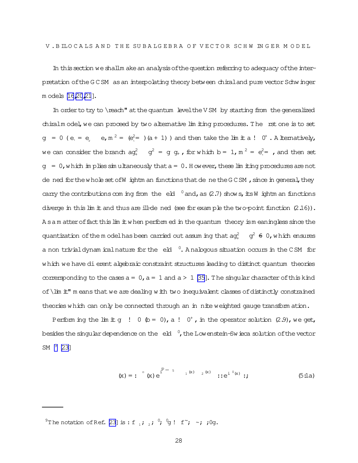In this section we shallm ake an analysis of the question referring to adequacy of the interpretation of the GCSM as an interpolating theory between chiral and pure vector Schwinger m odels [16,20,21].

In order to try to \reach" at the quantum level the VSM by starting from the generalized chiralm odel, we can proceed by two alternative lim iting procedures. The rst one is to set  $g = 0$  (e, = e, m<sup>2</sup> = (e<sup>2</sup> = )(a + 1)) and then take the lim it a ! 0<sup>+</sup>. A literatively, we can consider the branch  $ag_{+}^{2}$  o<sup>2</sup> = g g<sub>+</sub>, for which b = 1, m<sup>2</sup> =  $e_{\gamma}^{2}$  , and then set  $q = 0$ , which in plies sinultaneously that  $a = 0$ . However, these limiting procedures are not de ned for the whole set of W ightm an functions that de ne the GCSM, since in general, they carry the contributions com ing from the eld  $\degree$  and, as (2.7) shows, its W ightm an functions diverge in this lim it and thus are ill-de ned (see for exam ple the two-point function  $(2.16)$ ). A s a m atter of fact this lim it when perform ed in the quantum theory is meaningless since the quantization of the model has been carried out assuming that  $aq<sup>2</sup>_{+} = q<sup>2</sup> \in 0$ , which ensures a non trivial dynam ical nature for the eld  $\degree$ . A nalogous situation occurs in the CSM for which we have di erent algebraic constraint structures leading to distinct quantum theories corresponding to the cases  $a = 0$ ,  $a = 1$  and  $a > 1$  [35]. The singular character of this kind of \lim it" m eans that we are dealing w ith two inequivalent classes of distinctly constrained theories which can only be connected through an in nite weighted gauge transform ation.

Perform ing the lim it g  $\;$  ! 0 (b = 0), a ! 0<sup>+</sup>, in the operator solution (2.9), we get, besides the singular dependence on the eld  $\,^0$ , the Low enstein-Swieca solution of the vector SM  $^{9}$  [23]

$$
(\mathbf{x}) = : \int_{0}^{\infty} (\mathbf{x}) e^{\int_{0}^{\mathbf{p} - s} 1} dx \quad \text{if} \quad e^{\mathbf{i} \theta} = : \mathbf{e}^{\mathbf{i} \theta} = \mathbf{0} \quad \text{(5:1a)}
$$

<sup>&</sup>lt;sup>9</sup>The notation of Ref. [23] is : f<sub>1</sub>; i <sup>0</sup>; <sup>0</sup>g! f<sup>2</sup>; ~; ;0g.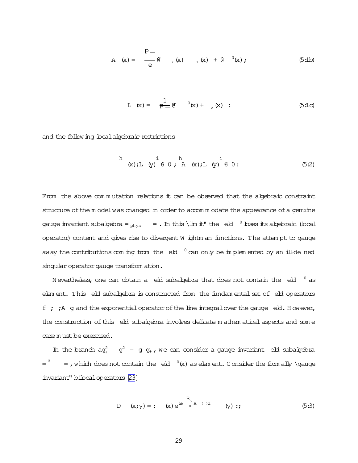A (x) = 
$$
\frac{p-}{e}
$$
 (x)  ${}_{1}(x) + (e^{-0}(x))$ ; (5:1b)

$$
L(x) = \frac{1}{p-1} (x) + \frac{1}{2}(x) :
$$
 (5:1c)

and the following localalgebraic restrictions

h i h i  
(x);L (y) 
$$
\neq 0
$$
; A (x);L (y)  $\neq 0$ : (52)

From the above commutation relations it can be observed that the algebraic constraint structure of the m odelwas changed in order to accomm odate the appearance of a genuine gauge invariant subalgebra =  $_{\text{phys}}$  = . In this \lim it" the eld  $\degree$  loses its algebraic (local operator) content and gives rise to divergent W ightm an functions. The attem pt to gauge away the contributions com ing from the eld  $\degree$  can only be implem ented by an ill-de ned singular operator gauge transform ation.

N evertheless, one can obtain a eld subalgebra that does not contain the eld  $0$  as elem ent. This eld subalgebra is constructed from the fundam ental set of eld operators  $f$  ;  $\dot{A}$  g and the exponential operator of the line integral over the gauge eld. H owever, the construction of this eld subalgebra involves delicate m athem atical aspects and some care m ust be exercised.

In the branch  $ag_{+}^{2}$  o<sup>2</sup> = g g<sub>+</sub>, we can consider a gauge invariant eld subalgebra =  $\frac{q}{q}$  = ,which does not contain the eld  $\frac{0}{x}$  as element. Consider the form ally \gauge invariant" bilocaloperators[\[23](#page-38-0)]

D (x;y) = : (x) e<sup>ie</sup> 
$$
\int_{x}^{R_y} A(t) dt
$$
 (y) :; (5:3)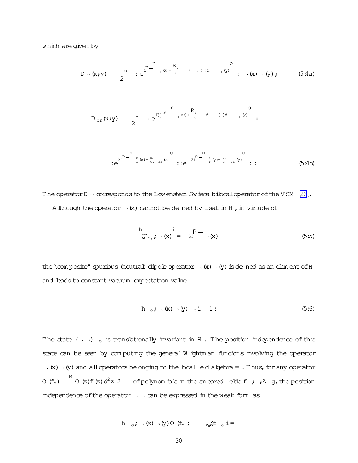which are given by

$$
D \cdot \mathbf{x} \cdot y = \frac{0}{2} \cdot e^{\int_{1}^{p} \frac{R_y}{1} (x) + \int_{x}^{R_y} (x) dx} \quad \text{e} \quad \frac{0}{1} (y) \quad \text{f} \quad (x) \quad (y) \quad \text{f} \quad (5.4a)
$$

$$
D_{rr}(x; y) = \frac{0}{2} : e^{\frac{i\theta r}{e_1} p - \frac{n}{1}(x) + \frac{R_y}{x}} e^{-\frac{0}{1}(x) d} \frac{0}{1^{(y)}}:
$$

The operator D . corresponds to the Lowenstein-Swieca bilocal operator of the VSM [23]. A lithough the operator  $\cdot$  (x) cannot be dened by itself in H, in virtude of

$$
\stackrel{\text{h}}{\mathcal{Q}}\n\stackrel{\text{i}}{\sim}_2; \quad\n\text{(x)}\n= 2^{\text{p}-1} \quad\n\text{(x)}\n\tag{5.5}
$$

the \com posite" spurious (neutral) dipole operator  $\cdot$  (x)  $\cdot$  (y) is de ned as an element of H and leads to constant vacuum expectation value

$$
h \t b \t (x) \t (y) \t i = 1:
$$
 (5.6)

The state (, ,)  $_{\circ}$  is translationally invariant in H. The position independence of this state can be seen by computing the general W ightm an funcions involving the operator  $(x)$   $\cdot$  (y) and all operators belonging to the local eld algebra = . Thus, for any operator  $O(f_z) = \frac{R}{C}$   $O(z)f(z) d^2z 2 =$  of polynomials in the smeared elds f; A g, the position independence of the operator  $\sqrt{ }$  an be expressed in the weak form as

$$
h \quad \circ \mathbf{i} \quad (x) \quad (y) \circ (f_{z_1} \mathbf{i} \qquad \quad z_n \mathbf{i}) f \quad \circ i =
$$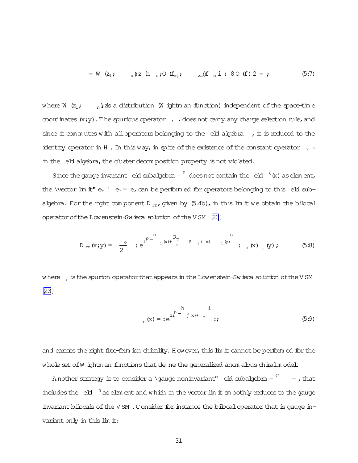$$
= W (z_1; n) z h_0; O (f_{z_1}; z_{z_1}) f_0 i; 80 (f) 2 = ; \qquad (5.7)
$$

where W  $(z_1; \t n)$  zis a distribution (W ightm an function) independent of the space-time coordinates  $(x,y)$ . The spurious operator,  $\theta$  does not carry any charge selection rule, and since it commutes with all operators belonging to the eld algebra =  $\mu$  it is reduced to the identity operator in H. In this way, in spite of the existence of the constant operator  $\,$ ,  $\,$ , in the eld algebra, the cluster decomposition property is not violated.

Since the gauge invariant eld subalgebra =  $\int$  does not contain the eld  $\int$  (x) as element, the \vector lim it"  $e_r$  !  $e_1 = e_r$ , can be performed for operators belonging to this eld subalgebra. For the right component D<sub>rr</sub>, given by  $(5.4b)$ , in this lim it we obtain the bilocal operator of the Lowenstein-Swieca solution of the VSM [23]

where is the spurion operator that appears in the Lowenstein-Swieca solution of the VSM  $231$ 

$$
\sum_{r}^{R} (x) = :e^{2\sum_{r=0}^{R} \sum_{r=0}^{n} (x) + \sum_{r=0}^{R} x} ;
$$
 (5.9)

and carries the right free-ferm ion chirality. However, this lim it cannot be performed for the whole set of W ightm an functions that de ne the generalized anom alous chiralm odel.

A nother strategy is to consider a \gauge noninvariant" eld subalgebra =  $\frac{9n}{10}$  =, that includes the eld  $\degree$  as element and which in the vector lim it an oothly reduces to the gauge invariant bilocals of the VSM. Consider for instance the bilocal operator that is gauge invariant only in this lim it: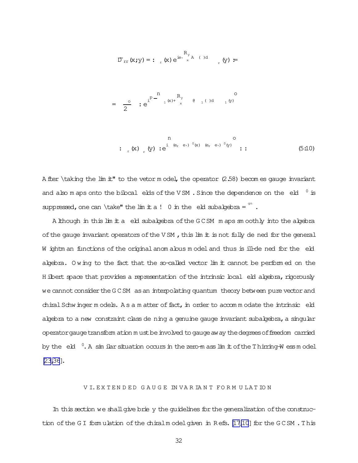$$
\mathbb{D}_{rr}(x; y) = \mathbf{1}_{r}(x) e^{\mathbf{i} \mathbf{e} \cdot \mathbf{R}_{y} R_{y}} \qquad (x \in \mathbb{R}^{N_x} \mathbb{R}^{N_x} \mathbb{R}^{N_x} \mathbb{R}^{N_x}
$$

$$
= \frac{0}{2} \cdot e^{i^{D} - \sum_{1}^{n} (x) + \sum_{x}^{R_{y}} \theta_{1} (\theta_{1} \theta_{2})}
$$

A fler \taking the  $\text{im } t$ " to the vetor m odel, the operator (2.58) becomes gauge invariant and also maps onto the bibcal elds of the VSM. Since the dependence on the eld  $0$  is suppressed, one can \take" the lim it a !  $0$  in the eld subalgebra =  $\frac{9n}{1}$ .

A lithough in this lim it a eld subalgebra of the GCSM maps smoothly into the algebra of the gauge invariant operators of the VSM, this lim it is not fully de ned for the general W ightm an functions of the original anom abus m odel and thus is ill-de ned for the eld abebra. Owing to the fact that the so-called vector lim it cannot be performed on the H ilbert space that provides a representation of the intrinsic local eld algebra, rigorously we cannot consider the GCSM as an interpolating quantum theory between pure vector and chiral Schwinger models. As a matter of fact, in order to accommodate the intrinsic eld abebra to a new constraint class de ning a genuine gauge invariant subabebra, a singular operator gauge transform ation must be involved to gauge aw ay the degrees of freedom carried by the eld  $\degree$ . A simular situation occurs in the zero-mass limit of the Thirring-W ess model  $[23, 36]$ .

#### VI. EXTENDED GAUGE INVARIANT FORM ULATION

In this section we shall give brie y the quidelines for the generalization of the construction of the GI formulation of the chiral model given in Refs. [17,10] for the GCSM. This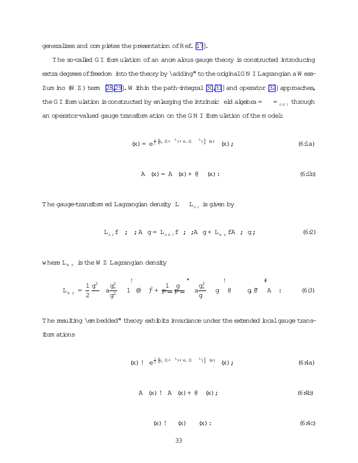generalizes and completes the presentation of Ref. [\[17](#page-38-0)].

The so-called G I form ulation of an anom alous gauge theory is constructed introducing extra degrees of freedom into the theory by \adding" to the originalG N I Lagrangian a W ess-Zum ino  $(W Z)$  term  $[28,29]$ . W ithin the path-integral  $[30,31]$  $[30,31]$  and operator  $[32]$  $[32]$  approaches, the G I form ulation is constructed by enlarging the intrinsic eld algebra =  $=$   $\frac{1}{G N I}$  through an operator-valued gauge transform ation on the GN I form ulation of the model:

$$
(x) = e^{\frac{i}{2} [E_r (1+5) + e, (1-5)] (x)} (x); \qquad (6.1a)
$$

A 
$$
(x) = A
$$
  $(x) + 0$   $(x)$ :  $(6:1b)$ 

The gauge-transform ed Lagrangian density  $L = L_{\text{GJ}}$  is given by

$$
L_{\text{gr}} f \quad ; \quad j \text{A} \quad g = L_{\text{gr}} f \quad ; \quad j \text{A} \quad g + L_{\text{gr}} f \text{A} \quad ; \quad g \tag{62}
$$

where  $L_{WZ}$  is the W Z Lagrangian density

$$
L_{WZ} = \frac{1}{2} \frac{g^2}{g^2} \quad a \frac{g^2}{g^2} \quad 1 \quad (0 \quad \hat{y} + \frac{1}{P} = \frac{g}{P} = \frac{g^2}{g^2} \quad g \quad (0 \quad g \quad (6.3)
$$

The resulting \em bedded" theory exhibits invariance under the extended local gauge transform ations

$$
(x) \quad e^{\frac{i}{2} [e_r (1+^{-5})+e_r (1-^{-5})] (x)} \quad (x) \tag{6.4a}
$$

A (x) ! A (x) + @ (x) ; (6:4b)

$$
(x) ! (x) (x) : (6:4c)
$$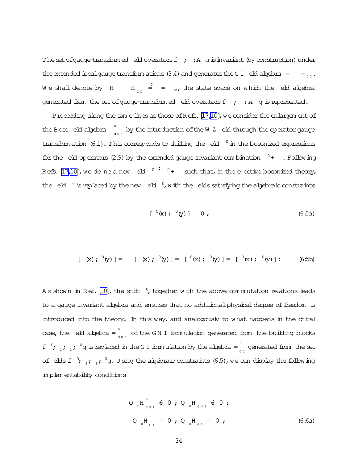The set of gauge-transform ed eld operators  $f$ ;  $h$  g is invariant (by construction) under the extended boalgauge transform ations (3.4) and generates the G I eld algebra =  $=$   $=$ We shall denote by H  $\frac{1}{\epsilon}$  =  $\frac{1}{\epsilon}$ , the state space on which the eld algebra generated from the set of gauge-transform ed eld operators  $f$  ;  $A$  g is represented.

Proceeding along the sam e lines as those of Refs. [\[17](#page-38-0)[,10](#page-37-0)], we consider the enlargem ent of the Bose  $\,$  eld algebra =  $^{\text{\tiny B}}$  $\int_{GM}$  by the introduction of the W  $Z$  eld through the operator gauge transform ation (6.1). This corresponds to shifting the  $\,$  eld  $^{-0}$  in the bosonized expressions for the eld operators (2.9) by the extended gauge invariant com bination  $0+$  . Following Refs. [\[17](#page-38-0)[,10\]](#page-37-0), we de ne a new eld  $0 = 0 + 0$  such that, in the e-ective bosonized theory, the eld  $\degree$  is replaced by the new eld  $\degree$ , with the elds satisfying the algebraic constraints

$$
[ ({}^0(x) ; {}^0(y) ] = 0 ; \qquad (6.5a)
$$

$$
[(x); ^{0}(y)] = [(x); ^{0}(y)] = [^{0}(x); ^{0}(y)] = [^{0}(x); ^{0}(y)] : (6.5b)
$$

A s shown in Ref. [\[10\]](#page-37-0), the shift  $\,^0$ , together with the above commutation relations leads to a gauge invariant algebra and ensures that no additional physical degree of freedom is introduced into the theory. In this way, and analogously to what happens in the chiral case, the eld algebra =  $\frac{B}{2}$  $\int_{G \text{ N I}}^{\infty}$  of the GN I form ulation generated from the building blocks f<sup>0</sup>;<sub>2</sub>;<sub>1</sub>;<sup>0</sup>g is replaced in the G I form ulation by the algebra =  $\int_{G/I}$  generated from the set of elds f  $\degree$ ;  $_{_2}$ ;  $_{_1}$ ;  $\degree$ g. U sing the algebraic constraints (6.5), we can display the following im plem entability conditions

$$
Q_{0}H_{_{GHI}}^{^B} \n\in 0; Q_{0}H_{_{GHI}} \n\in 0;
$$
  
\n $Q_{0}H_{_{GI}}^{^B} = 0; Q_{0}H_{_{GI}} = 0;$  (6:6a)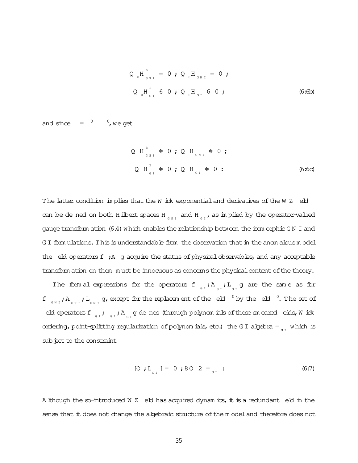$$
Q_{0}H_{_{GHI}}^{^{B}} = 0; Q_{0}H_{_{GHI}} = 0; \qquad Q_{0}H_{_{GHI}} = 0; \qquad Q_{0}H_{_{GI}}^{^{B}} = 0; \qquad Q_{0}H_{_{GI}}^{^{B}} = 0; \qquad Q_{0}H_{_{GI}}^{^{B}} = 0; \qquad Q_{0}H_{_{GHI}}^{^{B}} = 0; \qquad Q_{0}H_{_{GHI}}^{^{B}} = 0; \qquad Q_{0}H_{_{GHI}}^{^{B}} = 0; \qquad Q_{0}H_{_{GHI}}^{^{B}} = 0; \qquad Q_{0}H_{_{GHI}}^{^{B}} = 0; \qquad Q_{0}H_{_{GHI}}^{^{B}} = 0; \qquad Q_{0}H_{_{GHI}}^{^{B}} = 0; \qquad Q_{0}H_{_{GHI}}^{^{B}} = 0; \qquad Q_{0}H_{_{GHI}}^{^{B}} = 0; \qquad Q_{0}H_{_{GHI}}^{^{B}} = 0; \qquad Q_{0}H_{_{GHI}}^{^{B}} = 0; \qquad Q_{0}H_{_{GHI}}^{^{B}} = 0; \qquad Q_{0}H_{_{GHI}}^{^{B}} = 0; \qquad Q_{0}H_{_{GHI}}^{^{B}} = 0; \qquad Q_{0}H_{_{GHI}}^{^{B}} = 0; \qquad Q_{0}H_{_{GHI}}^{^{B}} = 0; \qquad Q_{0}H_{_{GHI}}^{^{B}} = 0; \qquad Q_{0}H_{_{GHI}}^{^{B}} = 0; \qquad Q_{0}H_{_{GHI}}^{^{B}} = 0; \qquad Q_{0}H_{_{GHI}}^{^{B}} = 0; \qquad Q_{0}H_{_{GHI}}^{^{B}} = 0; \qquad Q_{0}H_{_{GHI}}^{^{B}} = 0; \qquad Q_{0}H_{_{GHI}}^{^{B}} = 0; \qquad Q_{0}H_{_{GHI}}^{^{B}} = 0; \qquad Q_{0}H_{_{GHI}}^{^{B}} = 0; \qquad Q_{0}H_{_{GHI}}^{^{B}} = 0; \qquad Q_{0}H_{_{GHI}}^{^{B}} = 0; \qquad Q_{0}H_{_{GHI}}^{^{B}} = 0; \qquad Q_{0}H_{_{GHI}}^{^{B}} = 0; \qquad Q_{0}H_{_{GHI}}^{^{B}} = 0
$$

and  $\sin \alpha = 0$ , we get

$$
Q H_{_{GNI}}^B
$$
  $\neq 0$  ;  $Q H_{_{GNI}} \neq 0$  ;  
\n $Q H_{_{GI}}^B$   $\neq 0$  ;  $Q H_{_{GI}} \neq 0$  :  
\n(6.6c)

The latter condition in plies that the W ick exponential and derivatives of the W Z eld can be de ned on both H ibert spaces H  $_{c}$  and H  $_{c}$ , as implied by the operator-valued gauge transform ation (6.4) which enables the relationship between the isom orphic GN I and G I form ulations. This is understandable from the observation that in the anom alous model the eld operators f ; A g acquire the status of physical observables, and any acceptable transform ation on them must be innocuous as concerns the physical content of the theory.

The form al expressions for the operators f<sub>c</sub>,  $A_{c_{I}}$ ,  $L_{c_{I}}$  g are the same as for f  $_{\text{GN I}}$ ;  $A_{\text{GN I}}$ ;  $L_{\text{GN I}}$  g, except for the replacement of the eld  $^{0}$  by the eld  $^{0}$ . The set of eld operators f $\begin{array}{cc} 0 & \text{if} \end{array}$  ,  $\begin{array}{cc} 0 & \text{if} \end{array}$  ,  $\begin{array}{cc} 0 & \text{if} \end{array}$  , and  $\begin{array}{cc} 0 & \text{if} \end{array}$  , and  $\begin{array}{cc} 0 & \text{if} \end{array}$ ordering, point-splitting regularization of polynomials, etc.) the GI algebra =  $\frac{1}{2}$  which is sub ject to the constraint

A lihough the so-introduced W Z eld has acquired dynamics, it is a redundant eld in the sense that it does not change the algebraic structure of the model and therefore does not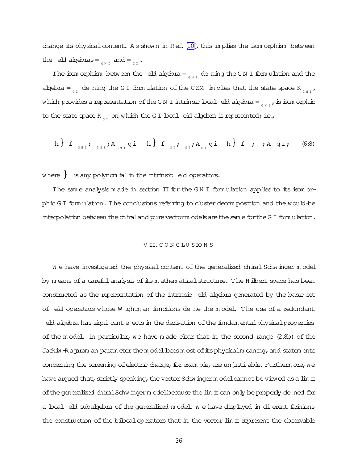change its physical content. As shown in Ref.  $[10]$ , this im plies the isom orphism between the eld algebras =  $_{_{\text{G}_{N I}}}$  and =  $_{_{\text{G I}}}$ .

The isom orphism between the eld algebra =  $\frac{1}{6N}$  de ning the GN I formulation and the algebra =  $_{\text{GI}}$  de ning the GI formulation of the CSM implies that the state space K  $_{\text{GNI}}$ , which provides a representation of the GN I intrinsic local eld algebra =  $_{\tiny\text{GNI}}$  , is isom orphic to the state space  $K_{_{G\ I}}$  on which the GI boal eld algebra is represented; i.e.,

$$
h\big\} f_{\text{SNI}}; a_{\text{SNI}}; a_{\text{SNI}} \text{gii} h\big\} f_{\text{SII}}; a_{\text{SII}}; a_{\text{SII}} \text{gii} h\big\} f ; a_{\text{SII}} \text{gii} h \tag{6.8}
$$

where  $\}$  is any polynom ial in the intrinsic eld operators.

The sam e analysis m ade in section II for the G N I form ulation applies to its isom orphic G I form ulation. The conclusions referring to cluster decom position and the would-be interpolation between the chiral and pure vectorm odels are the same for the G I form ulation.

#### V II.C O N C LU SIO N S

W e have investigated the physical content of the generalized chiral Schwinger model by m eans of a careful analysis of its m athem atical structure. The H ilbert space has been constructed as the representation of the intrinsic eld algebra generated by the basic set of eld operators whose W ightm an functions de ne the model. The use of a redundant eld algebra has signi cant e ects in the derivation of the fundam ental physical properties of the m odel. In particular, we have m ade clear that in the second range (2.8b) of the Jackiw-R ajaram an param eter the m odel bses m ost of its physicalm eaning, and statem ents concerning the screening of electric charge, for exam ple, are unjusti able. Furtherm ore, we have argued that, strictly speaking, the vector Schwingerm odelcannot be viewed as a lim it of the generalized chiral Schwinger model because the lim it can only be properly de ned for a boal eld subalgebra of the generalized m odel. We have displayed in dierent fashions the construction of the bilocal operators that in the vector lim it represent the observable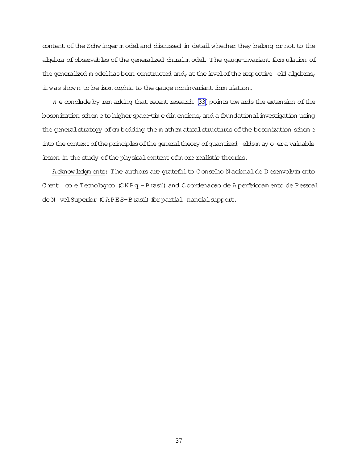content of the Schw inger m odel and discussed in detail whether they belong or not to the abebra of observables of the generalized chiralm odel. The gauge-invariant formulation of the generalized model has been constructed and, at the level of the respective eld algebras, it was shown to be isom orphic to the gauge-noninvariant formulation.

We conclude by remarking that recent research [33] points towards the extension of the bosonization schem e to higher space-time dimensions, and a foundational investigation using the general strategy of embedding the m athem atical structures of the bosonization scheme into the context of the principles of the general theory of quantized elds m ay o er a valuable lesson in the study of the physical content of m ore realistic theories.

A cknow ledgm ents: The authors are grateful to Conselho N acional de D esenvolvim ento Cient co e Tecnologico (CNPq - Brasil) and Coordenacao de Aperfeicoam ento de Pessoal de N vel Superior (CAPES-Brasil) for partial nancial support.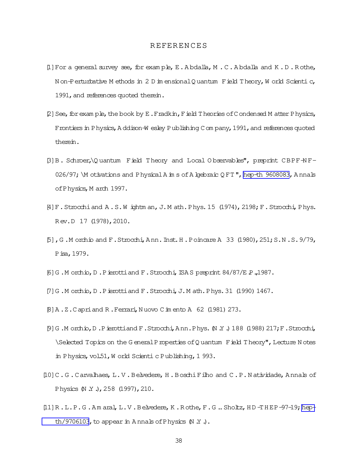# **REFERENCES**

- <span id="page-37-0"></span>[1] For a general survey see, for example, E. Abdalla, M.C. Abdalla and K.D. Rothe, N on Perturbative M ethods in 2 D im ensional Q uantum F ield T heory, W orld Scientic, 1991, and references quoted therein.
- $[2]$  See, for exam ple, the book by E. Fradkin, Field Theories of Condensed M atter Physics, Frontiers in Physics, Addison-W esley Publishing Company, 1991, and references quoted therein.
- B]B. Schroer, \Quantum Field Theory and Local Observables", preprint CBPF-NF-026/97; \M otivations and Physical A in s of A knebraic QFT", hep-th 9608083, Annals of Physics, M arch 1997.
- [4] F. Strocchi and A.S.W ightm an, J.M ath. Phys. 15 (1974), 2198; F. Strocchi, Phys. Rev.D 17 (1978), 2010.
- [5], G.Morchio and F.Strocchi, Ann. Inst. H.Poincare A 33 (1980), 251; S.N.S. 9/79, P isa, 1979.
- [6] G.M orchio, D.P ierotti and F. Strocchi, ISA S preprint  $84/87/E$  P., 1987.
- [7] G.Morchio, D.Pierottiand F.Strocchi, J.Math.Phys. 31 (1990) 1467.
- [8] A.Z.Capriand R.Ferrari, Nuovo C im ento A 62 (1981) 273.
- [9] G.Morchio, D.P ierottiand F.Strocchi, Ann.Phys. (N.Y.) 188 (1988) 217; F.Strocchi, \Selected Topics on the General Properties of Quantum Field Theory", Lecture Notes in Physics, vol.51, W orld Scienti c Publishing, 1 993.
- $[10]$  C.G. Carvalhaes, L.V. Belvedere, H. Boschi Filho and C.P. Natividade, Annals of Physics (N Y.), 258 (1997), 210.
- [1] R.L.P.G.Amaral, L.V.Belvedere, K.Rothe, F.G..Sholtz, HD-THEP-97-19; hepth/9706103, to appear in Annals of Physics  $(N, Y, \cdot)$ .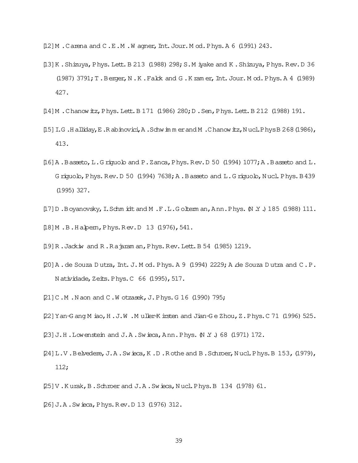<span id="page-38-0"></span>[12] M . Carena and C . E . M . W agner, Int. Jour. M od. Phys. A 6 (1991) 243.

- [13] K. Shizuya, Phys. Lett. B 213 (1988) 298; S. M iyake and K. Shizuya, Phys. Rev. D 36  $(1987)$  3791; T. Berger, N.K. Falck and G.K ramer, Int. Jour. Mod. Phys. A 4 (1989) 427.
- [14] M . Chanow itz, Phys. Lett. B 171 (1986) 280; D . Sen, Phys. Lett. B 212 (1988) 191.
- [15] I.G.Halliday, E.Rabinovici, A.Schwimmerand M.Chanowitz, NuclPhysB 268 (1986), 413.
- [16] A.B asseto, L.G riquolo and P.Zanca, Phys. Rev. D 50 (1994)  $1077$ ; A.B asseto and L. Griguolo, Phys. Rev. D 50 (1994) 7638; A. Basseto and L. Griguolo, Nucl. Phys. B 439  $(1995)$  327.
- [17] D. Boyanovsky, I. Schm idt and M. F. L. Goltem an, Ann. Phys. M. Y. J 185 (1988) 111.
- [18] M.B.Habem, Phys.Rev.D 13 (1976), 541.
- [19] R. Jackiw and R. Rajaram an, Phys. Rev. Lett. B 54 (1985) 1219.
- [20] A. de Souza Dutra, Int. J. M od. Phys. A 9 (1994) 2229; A de Souza Dutra and C.P. Natividade, Zeits. Phys. C 66 (1995), 517.
- [21] C.M.N.aon and C.W otzasek, J.Phys. G 16 (1990) 795;
- [22] Yan-G ang M iao, H.J.W.Muller-K irsten and Jian-Ge Zhou, Z.Phys.C 71 (1996) 525.
- [23] J.H. Lowenstein and J.A. Swieca, Ann. Phys. (N Y.) 68 (1971) 172.
- [24] L.V.Belvedere, J.A.Swieca, K.D.Rothe and B.Schroer, Nucl.Phys.B 153, (1979),  $112:$
- [25] V. Kurak, B. Schroer and J. A. Swieca, Nucl. Phys. B 134 (1978) 61.
- [26] J.A.Swieca, Phys.Rev.D 13 (1976) 312.